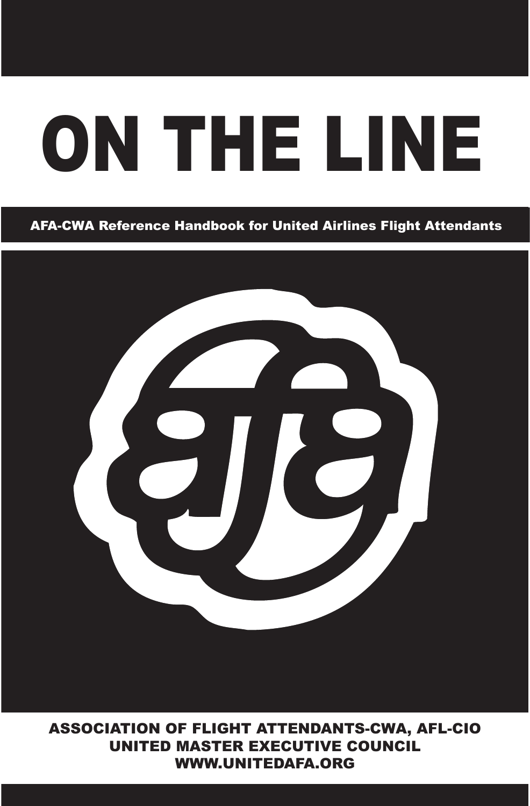# ON THE LINE ON THE LINE

#### AFA-CWA Reference Handbook for United Airlines Flight Attendants AFA-CWA Reference Handbook for United Airlines Flight Attendants



ASSOCIATION OF FLIGHT ATTENDANTS-CWA, AFL-CIO UNITED MASTER EXECUTIVE COUNCIL WWW.UNITEDAFA.ORG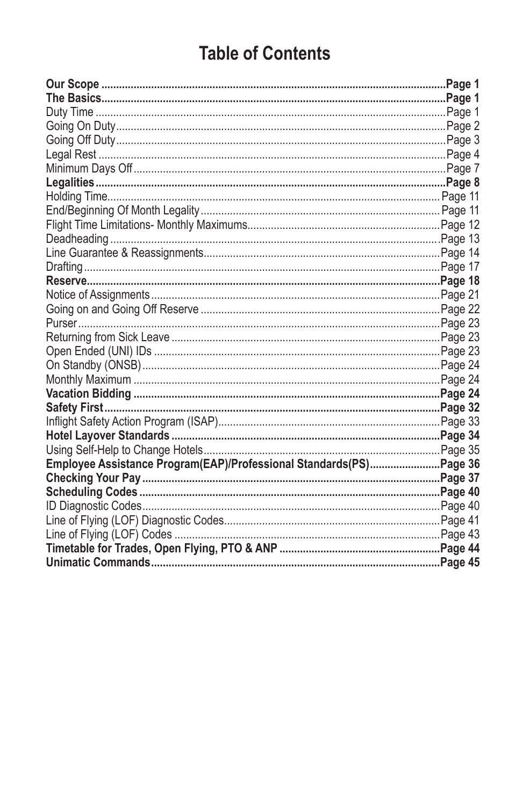# **Table of Contents**

| Employee Assistance Program(EAP)/Professional Standards(PS)Page 36 |  |
|--------------------------------------------------------------------|--|
|                                                                    |  |
|                                                                    |  |
|                                                                    |  |
|                                                                    |  |
|                                                                    |  |
|                                                                    |  |
|                                                                    |  |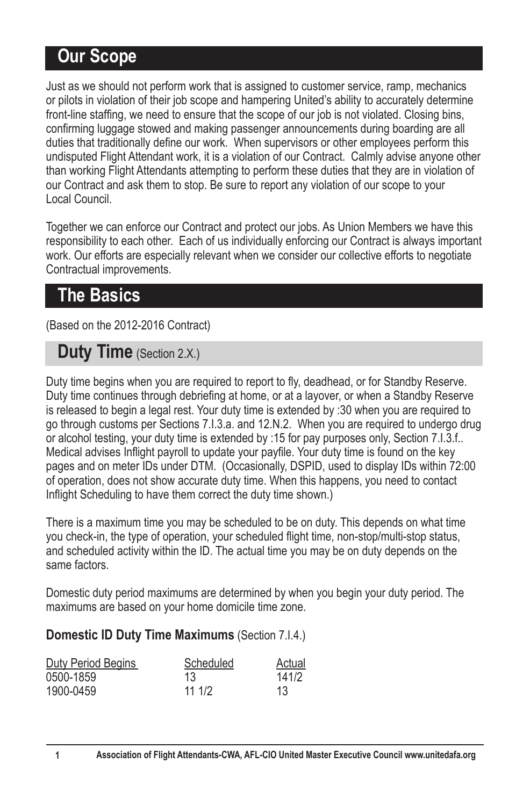# **Our Scope**

Just as we should not perform work that is assigned to customer service, ramp, mechanics or pilots in violation of their job scope and hampering United's ability to accurately determine front-line staffing, we need to ensure that the scope of our job is not violated. Closing bins, confirming luggage stowed and making passenger announcements during boarding are all duties that traditionally define our work. When supervisors or other employees perform this undisputed Flight Attendant work, it is a violation of our Contract. Calmly advise anyone other than working Flight Attendants attempting to perform these duties that they are in violation of our Contract and ask them to stop. Be sure to report any violation of our scope to your Local Council.

Together we can enforce our Contract and protect our jobs. As Union Members we have this responsibility to each other. Each of us individually enforcing our Contract is always important work. Our efforts are especially relevant when we consider our collective efforts to negotiate Contractual improvements.

# **The Basics**

(Based on the 2012-2016 Contract)

# **Duty Time** (Section 2.X.)

Duty time begins when you are required to report to fly, deadhead, or for Standby Reserve. Duty time continues through debriefing at home, or at a layover, or when a Standby Reserve is released to begin a legal rest. Your duty time is extended by :30 when you are required to go through customs per Sections 7.1.3.a. and 12.N.2. When you are required to undergo drug or alcohol testing, your duty time is extended by :15 for pay purposes only, Section 7.I.3.f.. Medical advises Inflight payroll to update your payfile. Your duty time is found on the key pages and on meter IDs under DTM. (Occasionally, DSPID, used to display IDs within 72:00 of operation, does not show accurate duty time. When this happens, you need to contact Inflight Scheduling to have them correct the duty time shown.)

There is a maximum time you may be scheduled to be on duty. This depends on what time you check-in, the type of operation, your scheduled flight time, non-stop/multi-stop status, and scheduled activity within the ID. The actual time you may be on duty depends on the same factors.

Domestic duty period maximums are determined by when you begin your duty period. The maximums are based on your home domicile time zone.

#### **Domestic ID Duty Time Maximums** (Section 7.I.4.)

| Duty Period Begins | Scheduled | Actual |
|--------------------|-----------|--------|
| 0500-1859          | 13        | 141/2  |
| 1900-0459          | 11 1/2    | 13     |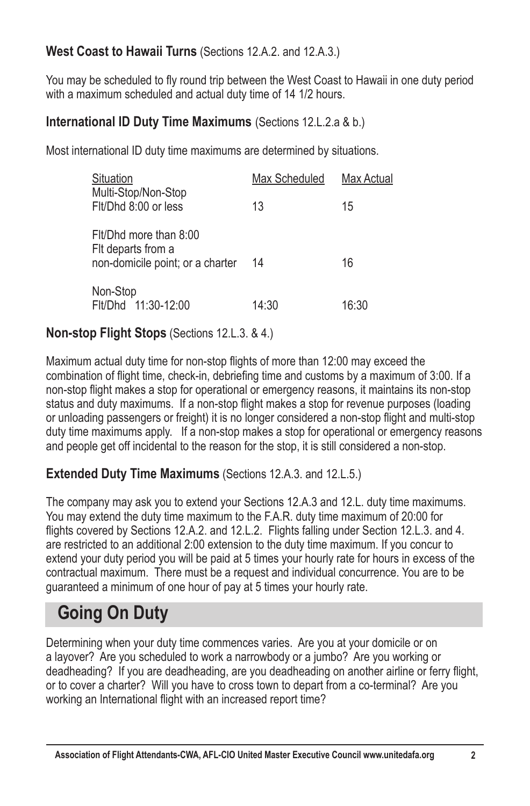#### **West Coast to Hawaii Turns** (Sections 12.A.2. and 12.A.3.)

You may be scheduled to fly round trip between the West Coast to Hawaii in one duty period with a maximum scheduled and actual duty time of 14 1/2 hours.

#### **International ID Duty Time Maximums** (Sections 12.L.2.a & b.)

Most international ID duty time maximums are determined by situations.

| Situation                                                                        | Max Scheduled | Max Actual |
|----------------------------------------------------------------------------------|---------------|------------|
| Multi-Stop/Non-Stop<br>Fit/Dhd 8:00 or less                                      | 13            | 15         |
| Fit/Dhd more than 8:00<br>Fit departs from a<br>non-domicile point; or a charter | 14            | 16         |
| Non-Stop<br>Flt/Dhd 11:30-12:00                                                  | 14:30         | 16:30      |

#### **Non-stop Flight Stops** (Sections 12.L.3. & 4.)

Maximum actual duty time for non-stop flights of more than 12:00 may exceed the combination of flight time, check-in, debriefing time and customs by a maximum of 3:00. If a non-stop flight makes a stop for operational or emergency reasons, it maintains its non-stop status and duty maximums. If a non-stop flight makes a stop for revenue purposes (loading or unloading passengers or freight) it is no longer considered a non-stop flight and multi-stop duty time maximums apply. If a non-stop makes a stop for operational or emergency reasons and people get off incidental to the reason for the stop, it is still considered a non-stop.

#### **Extended Duty Time Maximums** (Sections 12.A.3. and 12.L.5.)

The company may ask you to extend your Sections 12.A.3 and 12.L. duty time maximums. You may extend the duty time maximum to the F.A.R. duty time maximum of 20:00 for flights covered by Sections 12.A.2. and 12.L.2. Flights falling under Section 12.L.3. and 4. are restricted to an additional 2:00 extension to the duty time maximum. If you concur to extend your duty period you will be paid at 5 times your hourly rate for hours in excess of the contractual maximum. There must be a request and individual concurrence. You are to be guaranteed a minimum of one hour of pay at 5 times your hourly rate.

# **Going On Duty**

Determining when your duty time commences varies. Are you at your domicile or on a layover? Are you scheduled to work a narrowbody or a jumbo? Are you working or deadheading? If you are deadheading, are you deadheading on another airline or ferry flight, or to cover a charter? Will you have to cross town to depart from a co-terminal? Are you working an International flight with an increased report time?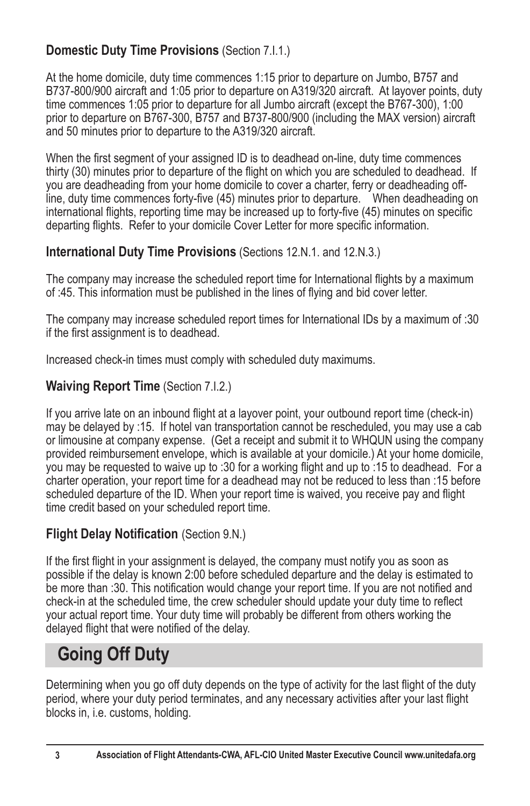## **Domestic Duty Time Provisions** (Section 7.I.1.)

At the home domicile, duty time commences 1:15 prior to departure on Jumbo, B757 and B737-800/900 aircraft and 1:05 prior to departure on A319/320 aircraft. At layover points, duty time commences 1:05 prior to departure for all Jumbo aircraft (except the B767-300), 1:00 prior to departure on B767-300, B757 and B737-800/900 (including the MAX version) aircraft and 50 minutes prior to departure to the A319/320 aircraft.

When the first segment of your assigned ID is to deadhead on-line, duty time commences thirty (30) minutes prior to departure of the flight on which you are scheduled to deadhead. If you are deadheading from your home domicile to cover a charter, ferry or deadheading offline, duty time commences forty-five (45) minutes prior to departure. Vhen deadheading on international flights, reporting time may be increased up to forty-five (45) minutes on specific departing flights. Refer to your domicile Cover Letter for more specific information.

#### **International Duty Time Provisions** (Sections 12.N.1. and 12.N.3.)

The company may increase the scheduled report time for International flights by a maximum of :45. This information must be published in the lines of flying and bid cover letter.

The company may increase scheduled report times for International IDs by a maximum of :30 if the first assignment is to deadhead.

Increased check-in times must comply with scheduled duty maximums.

#### **Waiving Report Time** (Section 7.I.2.)

If you arrive late on an inbound flight at a layover point, your outbound report time (check-in) may be delayed by :15. If hotel van transportation cannot be rescheduled, you may use a cab or limousine at company expense. (Get a receipt and submit it to WHQUN using the company provided reimbursement envelope, which is available at your domicile.) At your home domicile, you may be requested to waive up to :30 for a working flight and up to :15 to deadhead. For a charter operation, your report time for a deadhead may not be reduced to less than :15 before scheduled departure of the ID. When your report time is waived, you receive pay and flight time credit based on your scheduled report time.

#### **Flight Delay Notification (Section 9.N.)**

If the first flight in your assignment is delayed, the company must notify you as soon as possible if the delay is known 2:00 before scheduled departure and the delay is estimated to be more than :30. This notification would change your report time. If you are not notified and check-in at the scheduled time, the crew scheduler should update your duty time to reflect your actual report time. Your duty time will probably be different from others working the delayed flight that were notified of the delay.

# **Going Off Duty**

Determining when you go off duty depends on the type of activity for the last flight of the duty period, where your duty period terminates, and any necessary activities after your last flight blocks in, i.e. customs, holding.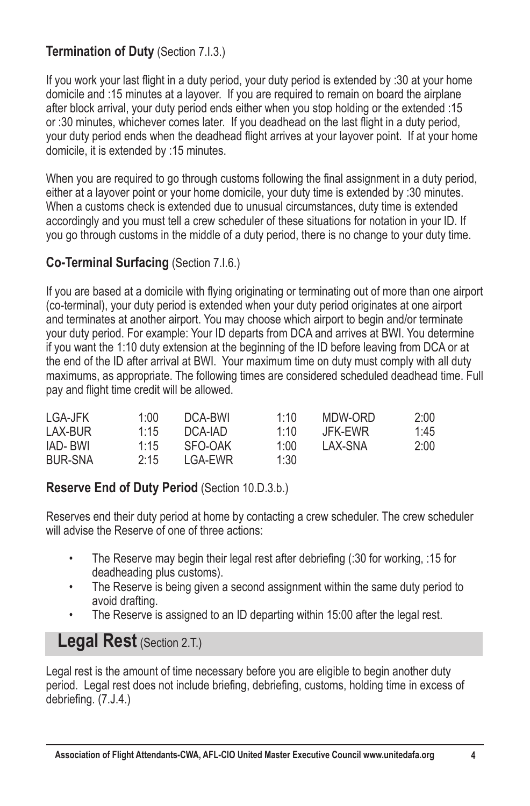#### **Termination of Duty** (Section 7.I.3.)

If you work your last flight in a duty period, your duty period is extended by :30 at your home domicile and :15 minutes at a layover. If you are required to remain on board the airplane after block arrival, your duty period ends either when you stop holding or the extended :15 or :30 minutes, whichever comes later. If you deadhead on the last flight in a duty period. your duty period ends when the deadhead flight arrives at your layover point. If at your home domicile, it is extended by :15 minutes.

When you are required to go through customs following the final assignment in a duty period. either at a layover point or your home domicile, your duty time is extended by :30 minutes. When a customs check is extended due to unusual circumstances, duty time is extended accordingly and you must tell a crew scheduler of these situations for notation in your ID. If you go through customs in the middle of a duty period, there is no change to your duty time.

#### **Co-Terminal Surfacing** (Section 7.I.6.)

If you are based at a domicile with flying originating or terminating out of more than one airport (co-terminal), your duty period is extended when your duty period originates at one airport and terminates at another airport. You may choose which airport to begin and/or terminate your duty period. For example: Your ID departs from DCA and arrives at BWI. You determine if you want the 1:10 duty extension at the beginning of the ID before leaving from DCA or at the end of the ID after arrival at BWI. Your maximum time on duty must comply with all duty maximums, as appropriate. The following times are considered scheduled deadhead time. Full pay and flight time credit will be allowed.

| LGA-JFK        | 1:00 | DCA-BWI | 1:10 | MDW-ORD | 2:00 |
|----------------|------|---------|------|---------|------|
| LAX-BUR        | 1.15 | DCA-IAD | 1:10 | JFK-EWR | 1:45 |
| IAD- BWI       | 1:15 | SFO-OAK | 1:00 | LAX-SNA | 2:00 |
| <b>BUR-SNA</b> | 2.15 | LGA-EWR | 1:30 |         |      |

#### **Reserve End of Duty Period** (Section 10.D.3.b.)

Reserves end their duty period at home by contacting a crew scheduler. The crew scheduler will advise the Reserve of one of three actions:

- The Reserve may begin their legal rest after debriefing  $(30$  for working,  $:15$  for deadheading plus customs).
- The Reserve is being given a second assignment within the same duty period to avoid drafting.
- The Reserve is assigned to an ID departing within 15:00 after the legal rest.

# **Legal Rest** (Section 2.T.)

Legal rest is the amount of time necessary before you are eligible to begin another duty period. Legal rest does not include briefing, debriefing, customs, holding time in excess of debriefing.  $(7. J.4.)$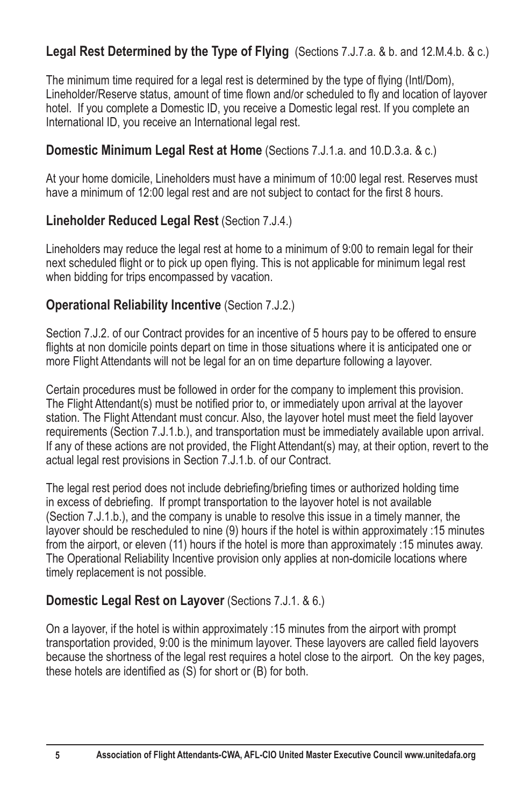## **Legal Rest Determined by the Type of Flying** (Sections 7.J.7.a. & b. and 12.M.4.b. & c.)

The minimum time required for a legal rest is determined by the type of flying (Intl/Dom). Lineholder/Reserve status, amount of time flown and/or scheduled to fly and location of layover hotel. If you complete a Domestic ID, you receive a Domestic legal rest. If you complete an International ID, you receive an International legal rest.

#### **Domestic Minimum Legal Rest at Home** (Sections 7.J.1.a. and 10.D.3.a. & c.)

At your home domicile, Lineholders must have a minimum of 10:00 legal rest. Reserves must have a minimum of 12:00 legal rest and are not subject to contact for the first 8 hours.

#### **Lineholder Reduced Legal Rest** (Section 7.J.4.)

Lineholders may reduce the legal rest at home to a minimum of 9:00 to remain legal for their next scheduled flight or to pick up open flying. This is not applicable for minimum legal rest when bidding for trips encompassed by vacation.

#### **Operational Reliability Incentive** (Section 7.J.2.)

Section 7.J.2. of our Contract provides for an incentive of 5 hours pay to be offered to ensure flights at non domicile points depart on time in those situations where it is anticipated one or more Flight Attendants will not be legal for an on time departure following a layover.

Certain procedures must be followed in order for the company to implement this provision. The Flight Attendant(s) must be notified prior to, or immediately upon arrival at the layover station. The Flight Attendant must concur. Also, the lavover hotel must meet the field lavover requirements (Section 7.J.1.b.), and transportation must be immediately available upon arrival. If any of these actions are not provided, the Flight Attendant(s) may, at their option, revert to the actual legal rest provisions in Section 7.J.1.b. of our Contract.

The legal rest period does not include debriefing/briefing times or authorized holding time in excess of debriefing. If prompt transportation to the layover hotel is not available (Section 7.J.1.b.), and the company is unable to resolve this issue in a timely manner, the layover should be rescheduled to nine (9) hours if the hotel is within approximately :15 minutes from the airport, or eleven (11) hours if the hotel is more than approximately :15 minutes away. The Operational Reliability Incentive provision only applies at non-domicile locations where timely replacement is not possible.

#### **Domestic Legal Rest on Layover** (Sections 7.J.1. & 6.)

On a layover, if the hotel is within approximately :15 minutes from the airport with prompt transportation provided, 9:00 is the minimum layover. These layovers are called field layovers because the shortness of the legal rest requires a hotel close to the airport. On the key pages, these hotels are identified as  $(S)$  for short or  $(B)$  for both.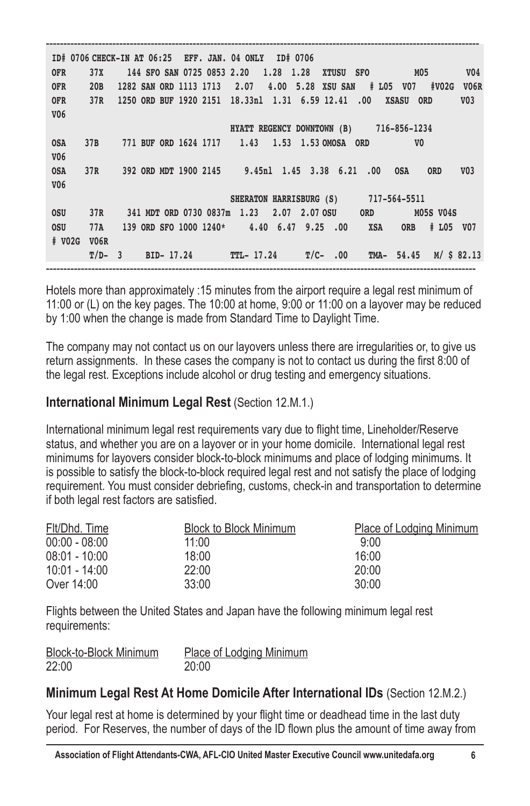---------------------------------------------------------------------------------------------------------------------------- **ID# 0706 CHECK-IN AT 06:25 EFF. JAN. 04 ONLY ID# 0706 OFR 37X 144 SFO SAN 0725 0853 2.20 1.28 1.28 XTUSU SFO M05 V04 OFR 20B 1282 SAN ORD 1113 1713 2.07 4.00 5.28 XSU SAN # L05 V07 #V02G V06R OFR 37R 1250 ORD BUF 1920 2151 18.33nl 1.31 6.59 12.41 .00 XSASU ORD V03 V06 HYATT REGENCY DOWNTOWN (B) 716-856-1234 OSA 37B 771 BUF ORD 1624 1717 1.43 1.53 1.53 OMOSA ORD V0 V06 OSA 37R 392 ORD MDT 1900 2145 9.45nl 1.45 3.38 6.21 .00 OSA ORD V03 V06 SHERATON HARRISBURG (S) 717-564-5511 OSU 37R 341 MDT ORD 0730 0837m 1.23 2.07 2.07 OSU ORD M05S V04S OSU 77A 139 ORD SFO 1000 1240\* 4.40 6.47 9.25 .00 XSA ORB # L05 V07 # V02G V06R T/D- 3 BID- 17.24 TTL- 17.24 T/C- .00 TMA- 54.45 M/ \$ 82.13** ---------------------------------------------------------------------------------------------------------------------------

Hotels more than approximately :15 minutes from the airport require a legal rest minimum of 11:00 or (L) on the key pages. The 10:00 at home, 9:00 or 11:00 on a layover may be reduced by 1:00 when the change is made from Standard Time to Daylight Time.

The company may not contact us on our layovers unless there are irregularities or, to give us return assignments. In these cases the company is not to contact us during the first 8:00 of the legal rest. Exceptions include alcohol or drug testing and emergency situations.

#### **International Minimum Legal Rest** (Section 12.M.1.)

International minimum legal rest requirements vary due to flight time, Lineholder/Reserve status, and whether you are on a layover or in your home domicile. International legal rest minimums for layovers consider block-to-block minimums and place of lodging minimums. It is possible to satisfy the block-to-block required legal rest and not satisfy the place of lodging requirement. You must consider debriefing, customs, check-in and transportation to determine if both legal rest factors are satisfied.

| Flt/Dhd. Time   | Block to Block Minimum | Place of Lodging Minimum |
|-----------------|------------------------|--------------------------|
| $00:00 - 08:00$ | 11:00                  | 9:00                     |
| $08:01 - 10:00$ | 18:00                  | 16:00                    |
| 10:01 - 14:00   | 22:00                  | 20:00                    |
| Over 14:00      | 33:00                  | 30:00                    |

Flights between the United States and Japan have the following minimum legal rest requirements:

| Block-to-Block Minimum | Place of Lodging Minimum |
|------------------------|--------------------------|
| 22:00                  | 20:00                    |

#### **Minimum Legal Rest At Home Domicile After International IDs** (Section 12.M.2.)

Your legal rest at home is determined by your flight time or deadhead time in the last duty period. For Reserves, the number of days of the ID flown plus the amount of time away from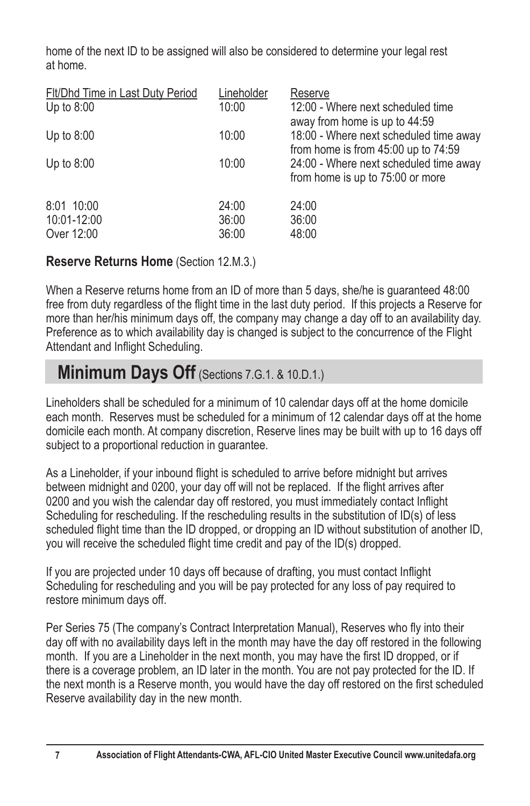home of the next ID to be assigned will also be considered to determine your legal rest at home.

| Fit/Dhd Time in Last Duty Period<br>Up to $8:00$ | Lineholder<br>10:00     | Reserve<br>12:00 - Where next scheduled time<br>away from home is up to 44:59 |
|--------------------------------------------------|-------------------------|-------------------------------------------------------------------------------|
| Up to $8:00$                                     | 10:00                   | 18:00 - Where next scheduled time away<br>from home is from 45:00 up to 74:59 |
| Up to $8:00$                                     | 10:00                   | 24:00 - Where next scheduled time away<br>from home is up to 75:00 or more    |
| 8:01 10:00<br>10:01-12:00<br>Over 12:00          | 24:00<br>36:00<br>36:00 | 24:00<br>36:00<br>48:00                                                       |

#### **Reserve Returns Home** (Section 12.M.3.)

When a Reserve returns home from an ID of more than 5 days, she/he is guaranteed 48:00 free from duty regardless of the flight time in the last duty period. If this projects a Reserve for more than her/his minimum days off, the company may change a day off to an availability day. Preference as to which availability day is changed is subject to the concurrence of the Flight Attendant and Inflight Scheduling.

# **Minimum Days Off** (Sections 7.G.1. & 10.D.1.)

Lineholders shall be scheduled for a minimum of 10 calendar days off at the home domicile each month. Reserves must be scheduled for a minimum of 12 calendar days off at the home domicile each month. At company discretion, Reserve lines may be built with up to 16 days off subject to a proportional reduction in guarantee.

As a Lineholder, if your inbound flight is scheduled to arrive before midnight but arrives between midnight and 0200, your day off will not be replaced. If the flight arrives after 0200 and you wish the calendar day off restored, you must immediately contact Inflight Scheduling for rescheduling. If the rescheduling results in the substitution of ID(s) of less scheduled flight time than the ID dropped, or dropping an ID without substitution of another ID, you will receive the scheduled flight time credit and pay of the ID(s) dropped.

If you are projected under 10 days off because of drafting, you must contact Inflight Scheduling for rescheduling and you will be pay protected for any loss of pay required to restore minimum days off.

Per Series 75 (The company's Contract Interpretation Manual), Reserves who fly into their day off with no availability days left in the month may have the day off restored in the following month. If you are a Lineholder in the next month, you may have the first ID dropped, or if there is a coverage problem, an ID later in the month. You are not pay protected for the ID. If the next month is a Reserve month, you would have the day off restored on the first scheduled Reserve availability day in the new month.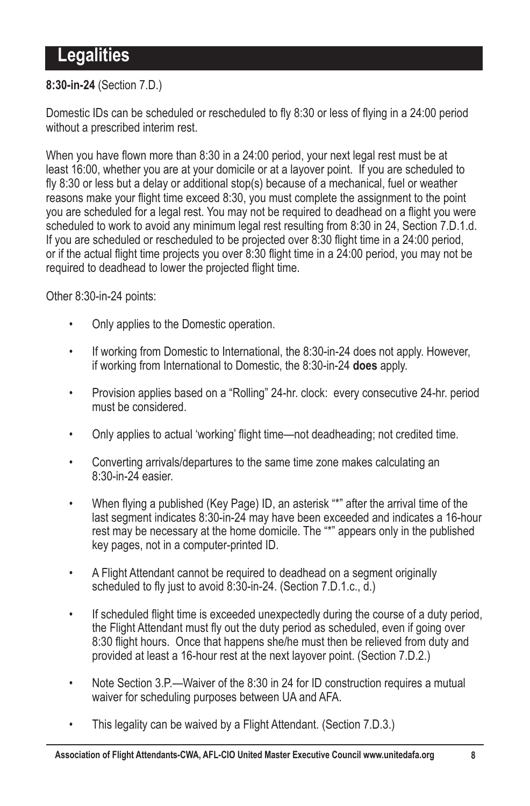# **Legalities**

#### **8:30-in-24** (Section 7.D.)

Domestic IDs can be scheduled or rescheduled to fly 8:30 or less of flying in a 24:00 period without a prescribed interim rest.

When you have flown more than 8:30 in a 24:00 period, your next legal rest must be at least 16:00, whether you are at your domicile or at a layover point. If you are scheduled to fly 8:30 or less but a delay or additional stop(s) because of a mechanical, fuel or weather reasons make your flight time exceed 8:30, you must complete the assignment to the point you are scheduled for a legal rest. You may not be required to deadhead on a flight you were scheduled to work to avoid any minimum legal rest resulting from 8:30 in 24, Section 7.D.1.d. If you are scheduled or rescheduled to be projected over 8:30 flight time in a 24:00 period, or if the actual flight time projects you over 8:30 flight time in a  $24:00$  period, you may not be required to deadhead to lower the projected flight time.

Other 8:30-in-24 points:

- Only applies to the Domestic operation.
- If working from Domestic to International, the 8:30-in-24 does not apply. However, if working from International to Domestic, the 8:30-in-24 **does** apply.
- Provision applies based on a "Rolling" 24-hr. clock: every consecutive 24-hr. period must be considered.
- Only applies to actual 'working' flight time—not deadheading; not credited time.
- Converting arrivals/departures to the same time zone makes calculating an 8:30-in-24 easier.
- When flying a published (Key Page) ID, an asterisk "\*" after the arrival time of the last segment indicates 8:30-in-24 may have been exceeded and indicates a 16-hour rest may be necessary at the home domicile. The "\*" appears only in the published key pages, not in a computer-printed ID.
- A Flight Attendant cannot be required to deadhead on a segment originally scheduled to fly just to avoid 8:30-in-24. (Section 7.D.1.c.,  $\overline{d}$ .)
- . If scheduled flight time is exceeded unexpectedly during the course of a duty period, the Flight Attendant must fly out the duty period as scheduled, even if going over 8:30 flight hours. Once that happens she/he must then be relieved from duty and provided at least a 16-hour rest at the next layover point. (Section 7.D.2.)
- Note Section 3.P.—Waiver of the 8:30 in 24 for ID construction requires a mutual waiver for scheduling purposes between UA and AFA.
- This legality can be waived by a Flight Attendant. (Section 7.D.3.)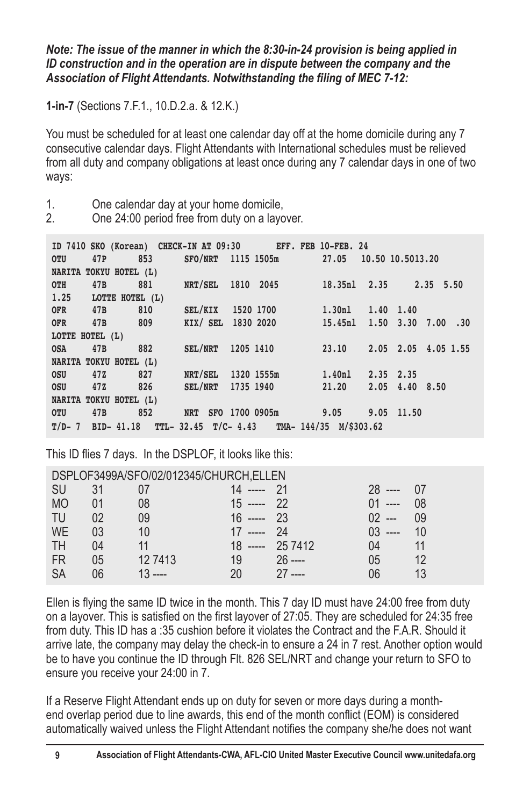*Note: The issue of the manner in which the 8:30-in-24 provision is being applied in ID construction and in the operation are in dispute between the company and the*  Association of Flight Attendants. Notwithstanding the filing of MEC 7-12:

**1-in-7** (Sections 7.F.1., 10.D.2.a. & 12.K.)

You must be scheduled for at least one calendar day off at the home domicile during any 7 consecutive calendar days. Flight Attendants with International schedules must be relieved from all duty and company obligations at least once during any 7 calendar days in one of two ways:

1. One calendar day at your home domicile,<br>2  $\sum_{n=1}^{\infty}$  One 24:00 period free from duty on a layo

2. One 24:00 period free from duty on a layover.

|                 | ID 7410 SKO (Korean) CHECK-IN AT 09:30 EFF. FEB 10-FEB. 24 |                                     |  |  |                                                          |
|-----------------|------------------------------------------------------------|-------------------------------------|--|--|----------------------------------------------------------|
| <b>OTU</b>      | 47P 853 SFO/NRT 1115 1505m 27.05 10.50 10.5013.20          |                                     |  |  |                                                          |
|                 | NARITA TOKYU HOTEL (L)                                     |                                     |  |  |                                                          |
|                 |                                                            |                                     |  |  | 0TH 47B 881 NRT/SEL 1810 2045 18.35nl 2.35 2.35 5.50     |
|                 | $1.25$ LOTTE HOTEL $(L)$                                   |                                     |  |  |                                                          |
|                 | OFR 47B 810 SEL/KIX 1520 1700 1.30nl 1.40 1.40             |                                     |  |  |                                                          |
|                 |                                                            |                                     |  |  | OFR 47B 809 KIX/SEL 1830 2020 15.45nl 1.50 3.30 7.00 .30 |
| LOTTE HOTEL (L) |                                                            |                                     |  |  |                                                          |
|                 |                                                            |                                     |  |  | 0SA 47B 882 SEL/NRT 1205 1410 23.10 2.05 2.05 4.05 1.55  |
|                 | NARITA TOKYU HOTEL (L)                                     |                                     |  |  |                                                          |
|                 | 0SU 47Z 827                                                | NRT/SEL 1320 1555m 1.40nl 2.35 2.35 |  |  |                                                          |
|                 | 0SU 47Z 826 SEL/NRT 1735 1940 21.20 2.05 4.40 8.50         |                                     |  |  |                                                          |
|                 | NARITA TOKYU HOTEL (L)                                     |                                     |  |  |                                                          |
|                 | 0TU 47B 852 NRT SFO 1700 0905m 9.05 9.05 11.50             |                                     |  |  |                                                          |
|                 | $T/D-7$ BID-41.18 TTL-32.45 T/C-4.43 TMA-144/35 M/\$303.62 |                                     |  |  |                                                          |

This ID flies 7 days. In the DSPLOF, it looks like this:

|           | DSPLOF3499A/SFO/02/012345/CHURCH, ELLEN |           |               |                  |            |       |  |  |
|-----------|-----------------------------------------|-----------|---------------|------------------|------------|-------|--|--|
| <b>SU</b> | 31                                      |           | $14$ ----- 21 |                  | $28$ ----  | $-07$ |  |  |
| <b>MO</b> | 01                                      | 08        | $15$ ----- 22 |                  | $01$ ----  | 08    |  |  |
| TU        | 02                                      | 09        | $16$ ----- 23 |                  | $02 -$     | ng    |  |  |
| WE        | 03                                      | 10        | 17 ----- 24   |                  | $0.3$ ---- | 10    |  |  |
| TH        | 04                                      |           |               | 18 ----- 25 7412 | 04 -       | 11    |  |  |
| FR        | 05                                      | 127413    | 19            | $26$ ----        | 05         | 12    |  |  |
| SA        | 06                                      | $13$ ---- | 20.           | $27$ ----        | าค         |       |  |  |

Ellen is flying the same ID twice in the month. This 7 day ID must have  $24:00$  free from duty on a layover. This is satisfied on the first layover of 27:05. They are scheduled for  $24:35$  free from duty. This ID has a :35 cushion before it violates the Contract and the F.A.R. Should it arrive late, the company may delay the check-in to ensure a 24 in 7 rest. Another option would be to have you continue the ID through Flt. 826 SEL/NRT and change your return to SFO to ensure you receive your 24:00 in 7.

If a Reserve Flight Attendant ends up on duty for seven or more days during a monthend overlap period due to line awards, this end of the month conflict (EOM) is considered automatically waived unless the Flight Attendant notifies the company she/he does not want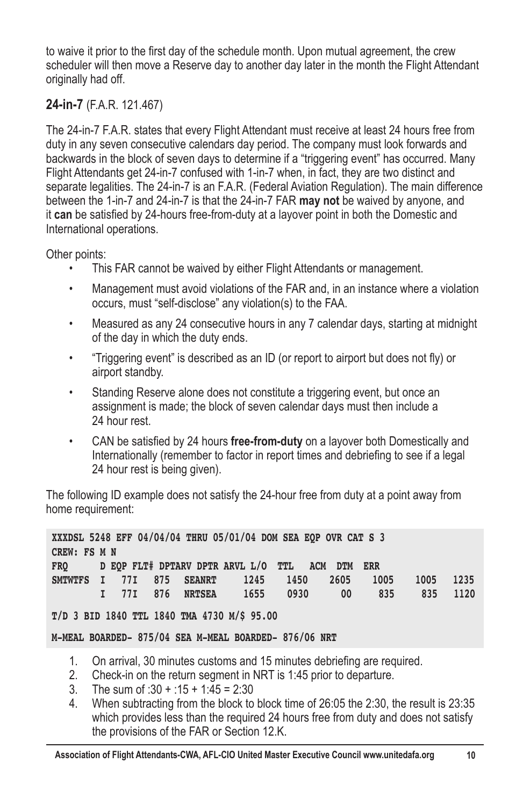to waive it prior to the first day of the schedule month. Upon mutual agreement, the crew scheduler will then move a Reserve day to another day later in the month the Flight Attendant originally had off.

## **24-in-7** (F.A.R. 121.467)

The 24-in-7 F.A.R. states that every Flight Attendant must receive at least 24 hours free from duty in any seven consecutive calendars day period. The company must look forwards and backwards in the block of seven days to determine if a "triggering event" has occurred. Many Flight Attendants get 24-in-7 confused with 1-in-7 when, in fact, they are two distinct and separate legalities. The 24-in-7 is an F.A.R. (Federal Aviation Regulation). The main difference between the 1-in-7 and 24-in-7 is that the 24-in-7 FAR **may not** be waived by anyone, and it can be satisfied by 24-hours free-from-duty at a layover point in both the Domestic and International operations.

Other points:

- This FAR cannot be waived by either Flight Attendants or management.
- Management must avoid violations of the FAR and, in an instance where a violation occurs, must "self-disclose" any violation(s) to the FAA.
- Measured as any 24 consecutive hours in any 7 calendar days, starting at midnight of the day in which the duty ends.
- "Triggering event" is described as an ID (or report to airport but does not fly) or airport standby.
- Standing Reserve alone does not constitute a triggering event, but once an assignment is made; the block of seven calendar days must then include a 24 hour rest.
- CAN be satisfied by 24 hours free-from-duty on a layover both Domestically and Internationally (remember to factor in report times and debriefing to see if a legal 24 hour rest is being given).

The following ID example does not satisfy the 24-hour free from duty at a point away from home requirement:

|              |  |                  | XXXDSL 5248 EFF 04/04/04 THRU 05/01/04 DOM SEA EQP OVR CAT S 3 |      |      |      |      |      |
|--------------|--|------------------|----------------------------------------------------------------|------|------|------|------|------|
| CREW: FS M N |  |                  |                                                                |      |      |      |      |      |
| <b>FRO</b>   |  |                  | D EOP FLT# DPTARV DPTR ARVL L/O TTL ACM DTM ERR                |      |      |      |      |      |
|              |  |                  | SMTWTFS I 77I 875 SEANRT 1245                                  | 1450 | 2605 | 1005 | 1005 | 1235 |
|              |  | I 77I 876 NRTSEA | 1655                                                           | 0930 | 00   | 835  | 835  | 1120 |

**T/D 3 BID 1840 TTL 1840 TMA 4730 M/\$ 95.00**

**M-MEAL BOARDED- 875/04 SEA M-MEAL BOARDED- 876/06 NRT**

- 1. On arrival, 30 minutes customs and 15 minutes debriefing are required.<br>2. Check-in on the return seqment in NRT is 1:45 prior to departure
- 2. Check-in on the return segment in NRT is 1:45 prior to departure.
- 3. The sum of :30 + :15 + 1:45 = 2:30
- 4. When subtracting from the block to block time of 26:05 the 2:30, the result is 23:35 which provides less than the required 24 hours free from duty and does not satisfy the provisions of the FAR or Section 12.K.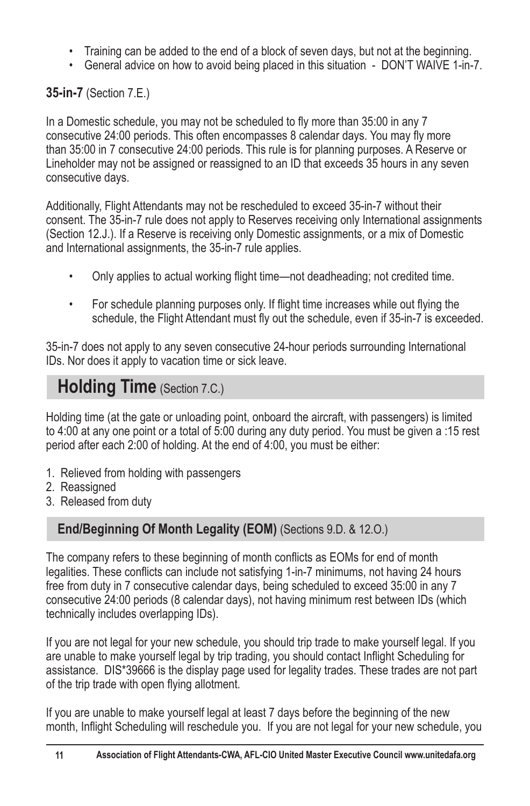- Training can be added to the end of a block of seven days, but not at the beginning.
- \* General advice on how to avoid being placed in this situation DON'T WAIVE 1-in-7.

## **35-in-7** (Section 7.E.)

In a Domestic schedule, you may not be scheduled to fly more than 35:00 in any 7 consecutive 24:00 periods. This often encompasses 8 calendar days. You may fly more than 35:00 in 7 consecutive 24:00 periods. This rule is for planning purposes. A Reserve or Lineholder may not be assigned or reassigned to an ID that exceeds 35 hours in any seven consecutive days.

Additionally, Flight Attendants may not be rescheduled to exceed 35-in-7 without their consent. The 35-in-7 rule does not apply to Reserves receiving only International assignments (Section 12.J.). If a Reserve is receiving only Domestic assignments, or a mix of Domestic and International assignments, the 35-in-7 rule applies.

- Only applies to actual working flight time—not deadheading; not credited time.
- For schedule planning purposes only. If flight time increases while out flying the schedule, the Flight Attendant must fly out the schedule, even if 35-in-7 is exceeded.

35-in-7 does not apply to any seven consecutive 24-hour periods surrounding International IDs. Nor does it apply to vacation time or sick leave.

# **Holding Time** (Section 7.C.)

Holding time (at the gate or unloading point, onboard the aircraft, with passengers) is limited to 4:00 at any one point or a total of 5:00 during any duty period. You must be given a :15 rest period after each 2:00 of holding. At the end of 4:00, you must be either:

- 1. Relieved from holding with passengers
- 2. Reassigned
- 3. Released from duty

## **End/Beginning Of Month Legality (EOM)** (Sections 9.D. & 12.O.)

The company refers to these beginning of month conflicts as EOMs for end of month legalities. These conflicts can include not satisfying 1-in-7 minimums, not having 24 hours free from duty in 7 consecutive calendar days, being scheduled to exceed 35:00 in any 7 consecutive 24:00 periods (8 calendar days), not having minimum rest between IDs (which technically includes overlapping IDs).

If you are not legal for your new schedule, you should trip trade to make yourself legal. If you are unable to make yourself legal by trip trading, you should contact Inflight Scheduling for assistance. DIS\*39666 is the display page used for legality trades. These trades are not part of the trip trade with open flying allotment.

If you are unable to make yourself legal at least 7 days before the beginning of the new month, Inflight Scheduling will reschedule you. If you are not legal for your new schedule, you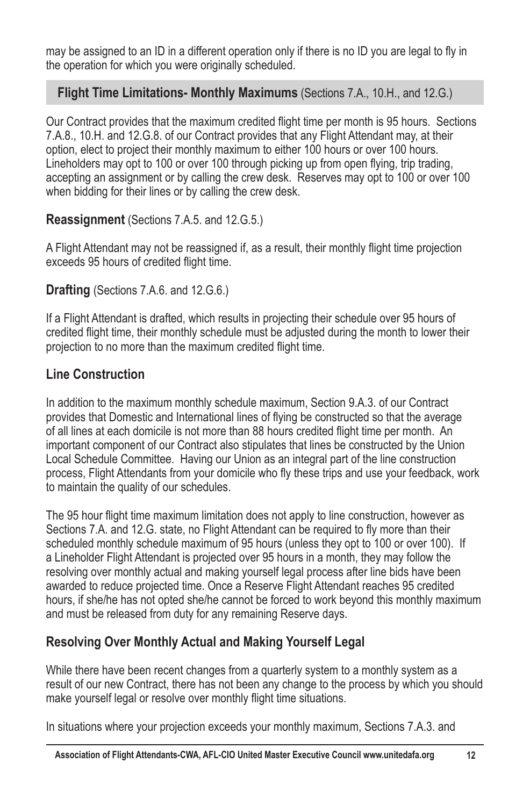may be assigned to an ID in a different operation only if there is no ID you are legal to fly in the operation for which you were originally scheduled.

#### **Flight Time Limitations- Monthly Maximums** (Sections 7.A., 10.H., and 12.G.)

Our Contract provides that the maximum credited flight time per month is 95 hours. Sections 7.A.8., 10.H. and 12.G.8. of our Contract provides that any Flight Attendant may, at their option, elect to project their monthly maximum to either 100 hours or over 100 hours. Lineholders may opt to 100 or over 100 through picking up from open flying, trip trading, accepting an assignment or by calling the crew desk. Reserves may opt to 100 or over 100 when bidding for their lines or by calling the crew desk.

#### **Reassignment** (Sections 7.A.5. and 12.G.5.)

A Flight Attendant may not be reassigned if, as a result, their monthly flight time projection exceeds 95 hours of credited flight time.

#### **Drafting** (Sections 7.A.6. and 12.G.6.)

If a Flight Attendant is drafted, which results in projecting their schedule over 95 hours of credited flight time, their monthly schedule must be adjusted during the month to lower their projection to no more than the maximum credited flight time.

#### **Line Construction**

In addition to the maximum monthly schedule maximum, Section 9.A.3. of our Contract provides that Domestic and International lines of flying be constructed so that the average of all lines at each domicile is not more than 88 hours credited flight time per month. An important component of our Contract also stipulates that lines be constructed by the Union Local Schedule Committee. Having our Union as an integral part of the line construction process, Flight Attendants from your domicile who fly these trips and use your feedback, work to maintain the quality of our schedules.

The 95 hour flight time maximum limitation does not apply to line construction, however as Sections 7.A. and 12.G. state, no Flight Attendant can be required to fly more than their scheduled monthly schedule maximum of 95 hours (unless they opt to 100 or over 100). If a Lineholder Flight Attendant is projected over 95 hours in a month, they may follow the resolving over monthly actual and making yourself legal process after line bids have been awarded to reduce projected time. Once a Reserve Flight Attendant reaches 95 credited hours, if she/he has not opted she/he cannot be forced to work beyond this monthly maximum and must be released from duty for any remaining Reserve days.

## **Resolving Over Monthly Actual and Making Yourself Legal**

While there have been recent changes from a quarterly system to a monthly system as a result of our new Contract, there has not been any change to the process by which you should make yourself legal or resolve over monthly flight time situations.

In situations where your projection exceeds your monthly maximum, Sections 7.A.3. and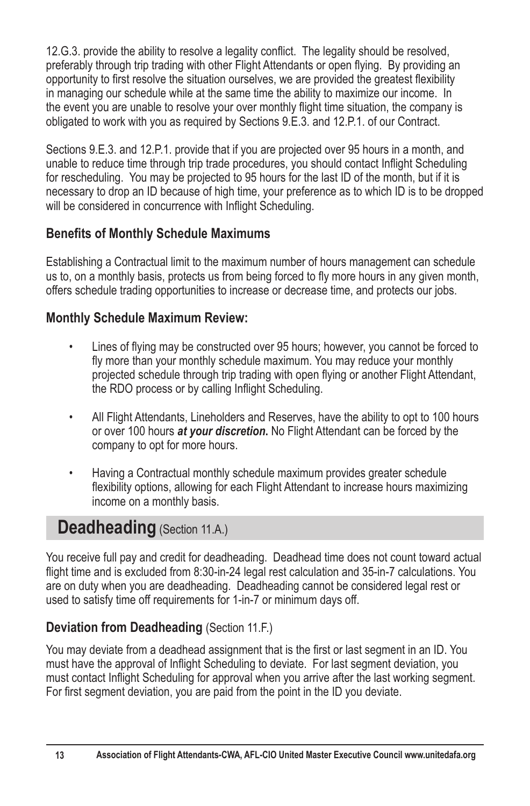12.G.3. provide the ability to resolve a legality conflict. The legality should be resolved, preferably through trip trading with other Flight Attendants or open flying. By providing an opportunity to first resolve the situation ourselves, we are provided the greatest flexibility in managing our schedule while at the same time the ability to maximize our income. In the event vou are unable to resolve your over monthly flight time situation, the company is obligated to work with you as required by Sections 9.E.3. and 12.P.1. of our Contract.

Sections 9.E.3. and 12.P.1. provide that if you are projected over 95 hours in a month, and unable to reduce time through trip trade procedures, you should contact Inflight Scheduling for rescheduling. You may be projected to 95 hours for the last ID of the month, but if it is necessary to drop an ID because of high time, your preference as to which ID is to be dropped will be considered in concurrence with Inflight Scheduling.

# **Benefits of Monthly Schedule Maximums**

Establishing a Contractual limit to the maximum number of hours management can schedule us to, on a monthly basis, protects us from being forced to fly more hours in any given month, offers schedule trading opportunities to increase or decrease time, and protects our jobs.

## **Monthly Schedule Maximum Review:**

- Lines of flying may be constructed over 95 hours; however, you cannot be forced to fly more than your monthly schedule maximum. You may reduce your monthly projected schedule through trip trading with open flying or another Flight Attendant, the RDO process or by calling Inflight Scheduling.
- All Flight Attendants, Lineholders and Reserves, have the ability to opt to 100 hours or over 100 hours *at your discretion***.** No Flight Attendant can be forced by the company to opt for more hours.
- Having a Contractual monthly schedule maximum provides greater schedule flexibility options, allowing for each Flight Attendant to increase hours maximizing income on a monthly basis.

# **Deadheading** (Section 11.A.)

You receive full pay and credit for deadheading. Deadhead time does not count toward actual flight time and is excluded from 8:30-in-24 legal rest calculation and 35-in-7 calculations. You are on duty when you are deadheading. Deadheading cannot be considered legal rest or used to satisfy time off requirements for 1-in-7 or minimum days off.

# **Deviation from Deadheading (Section 11.F.)**

You may deviate from a deadhead assignment that is the first or last segment in an ID. You must have the approval of Inflight Scheduling to deviate. For last segment deviation, you must contact Inflight Scheduling for approval when you arrive after the last working segment. For first segment deviation, you are paid from the point in the ID you deviate.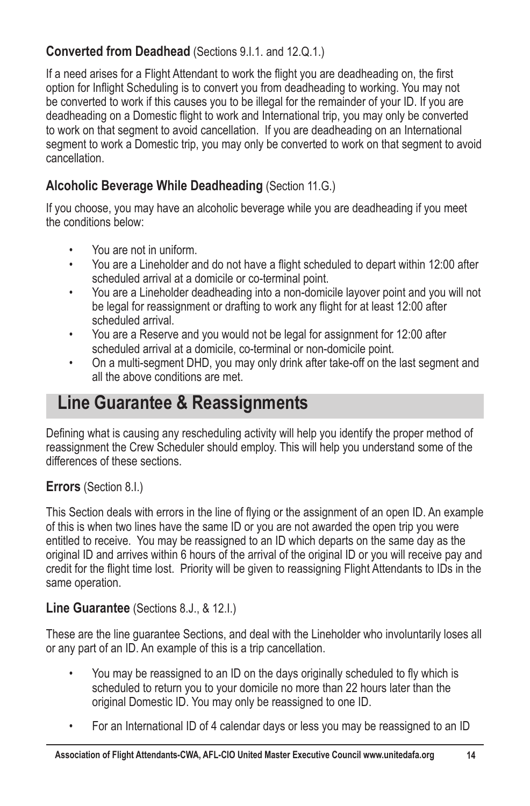# **Converted from Deadhead** (Sections 9.1.1. and 12.Q.1.)

If a need arises for a Flight Attendant to work the flight you are deadheading on, the first option for Inflight Scheduling is to convert you from deadheading to working. You may not be converted to work if this causes you to be illegal for the remainder of your ID. If you are deadheading on a Domestic flight to work and International trip, you may only be converted to work on that segment to avoid cancellation. If you are deadheading on an International segment to work a Domestic trip, you may only be converted to work on that segment to avoid cancellation.

# **Alcoholic Beverage While Deadheading** (Section 11.G.)

If you choose, you may have an alcoholic beverage while you are deadheading if you meet the conditions below:

- You are not in uniform.
- You are a Lineholder and do not have a flight scheduled to depart within 12:00 after scheduled arrival at a domicile or co-terminal point.
- You are a Lineholder deadheading into a non-domicile layover point and you will not be legal for reassignment or drafting to work any flight for at least 12:00 after scheduled arrival.
- You are a Reserve and you would not be legal for assignment for 12:00 after scheduled arrival at a domicile, co-terminal or non-domicile point.
- On a multi-segment DHD, you may only drink after take-off on the last segment and all the above conditions are met.

# **Line Guarantee & Reassignments**

Defining what is causing any rescheduling activity will help you identify the proper method of reassignment the Crew Scheduler should employ. This will help you understand some of the differences of these sections.

#### **Errors** (Section 8.I.)

This Section deals with errors in the line of flying or the assignment of an open ID. An example of this is when two lines have the same ID or you are not awarded the open trip you were entitled to receive. You may be reassigned to an ID which departs on the same day as the original ID and arrives within 6 hours of the arrival of the original ID or you will receive pay and credit for the flight time lost. Priority will be given to reassigning Flight Attendants to IDs in the same operation.

#### **Line Guarantee** (Sections 8.J., & 12.I.)

These are the line guarantee Sections, and deal with the Lineholder who involuntarily loses all or any part of an ID. An example of this is a trip cancellation.

- You may be reassigned to an ID on the days originally scheduled to fly which is scheduled to return you to your domicile no more than 22 hours later than the original Domestic ID. You may only be reassigned to one ID.
- For an International ID of 4 calendar days or less you may be reassigned to an ID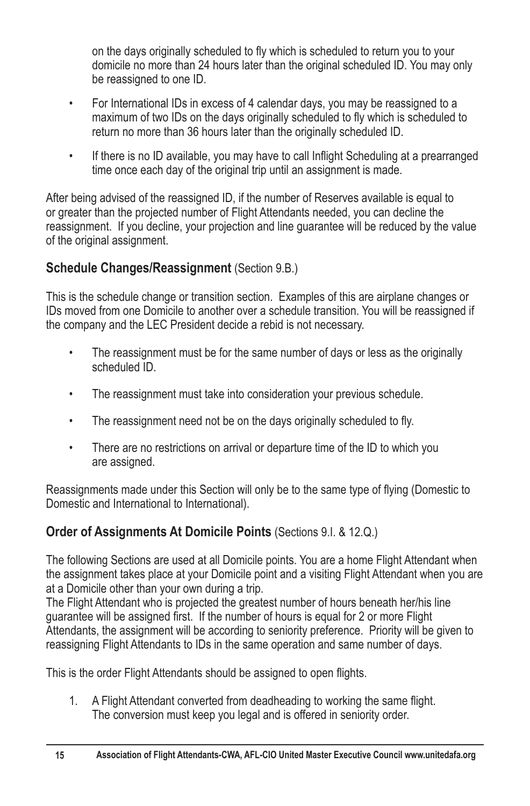on the days originally scheduled to fly which is scheduled to return you to your domicile no more than 24 hours later than the original scheduled ID. You may only be reassigned to one ID.

- For International IDs in excess of 4 calendar days, you may be reassigned to a maximum of two IDs on the days originally scheduled to fly which is scheduled to return no more than 36 hours later than the originally scheduled ID.
- If there is no ID available, you may have to call Inflight Scheduling at a prearranged time once each day of the original trip until an assignment is made.

After being advised of the reassigned ID, if the number of Reserves available is equal to or greater than the projected number of Flight Attendants needed, you can decline the reassignment. If you decline, your projection and line guarantee will be reduced by the value of the original assignment.

# **Schedule Changes/Reassignment** (Section 9.B.)

This is the schedule change or transition section. Examples of this are airplane changes or IDs moved from one Domicile to another over a schedule transition. You will be reassigned if the company and the LEC President decide a rebid is not necessary.

- The reassignment must be for the same number of days or less as the originally scheduled ID.
- The reassignment must take into consideration your previous schedule.
- The reassignment need not be on the days originally scheduled to fly.
- There are no restrictions on arrival or departure time of the ID to which you are assigned.

Reassignments made under this Section will only be to the same type of flying (Domestic to Domestic and International to International).

# **Order of Assignments At Domicile Points** (Sections 9.1, & 12.Q.)

The following Sections are used at all Domicile points. You are a home Flight Attendant when the assignment takes place at your Domicile point and a visiting Flight Attendant when you are at a Domicile other than your own during a trip.

The Flight Attendant who is projected the greatest number of hours beneath her/his line guarantee will be assigned first. If the number of hours is equal for 2 or more Flight Attendants, the assignment will be according to seniority preference. Priority will be given to reassigning Flight Attendants to IDs in the same operation and same number of days.

This is the order Flight Attendants should be assigned to open flights.

1. A Flight Attendant converted from deadheading to working the same flight. The conversion must keep you legal and is offered in seniority order.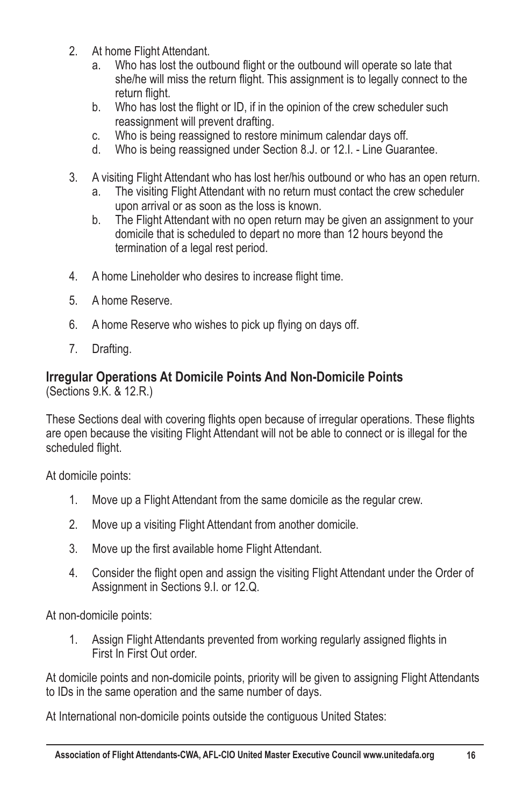- 2. At home Flight Attendant.
	- a. Who has lost the outbound flight or the outbound will operate so late that she/he will miss the return flight. This assignment is to legally connect to the return flight.<br>b. Who has los
	- Who has lost the flight or ID, if in the opinion of the crew scheduler such reassignment will prevent drafting.
	- c. Who is being reassigned to restore minimum calendar days off.<br>d. Who is being reassigned under Section 8 J, or 12 L, Line Guara
	- Who is being reassigned under Section 8.J. or 12.I. Line Guarantee.
- 3. A visiting Flight Attendant who has lost her/his outbound or who has an open return.
	- a. The visiting Flight Attendant with no return must contact the crew scheduler upon arrival or as soon as the loss is known.
	- b. The Flight Attendant with no open return may be given an assignment to your domicile that is scheduled to depart no more than 12 hours beyond the termination of a legal rest period.
- 4. A home Lineholder who desires to increase flight time.
- 5. A home Reserve.
- $6.$  A home Reserve who wishes to pick up flying on days off.
- 7. Drafting.

#### **Irregular Operations At Domicile Points And Non-Domicile Points** (Sections 9.K. & 12.R.)

These Sections deal with covering flights open because of irregular operations. These flights are open because the visiting Flight Attendant will not be able to connect or is illegal for the scheduled flight.

At domicile points:

- 1. Move up a Flight Attendant from the same domicile as the regular crew.
- 2. Move up a visiting Flight Attendant from another domicile.
- 3. Move up the first available home Flight Attendant.
- 4. Consider the flight open and assign the visiting Flight Attendant under the Order of Assignment in Sections 9.I. or 12.Q.

At non-domicile points:

1. Assign Flight Attendants prevented from working regularly assigned flights in First In First Out order.

At domicile points and non-domicile points, priority will be given to assigning Flight Attendants to IDs in the same operation and the same number of days.

At International non-domicile points outside the contiguous United States: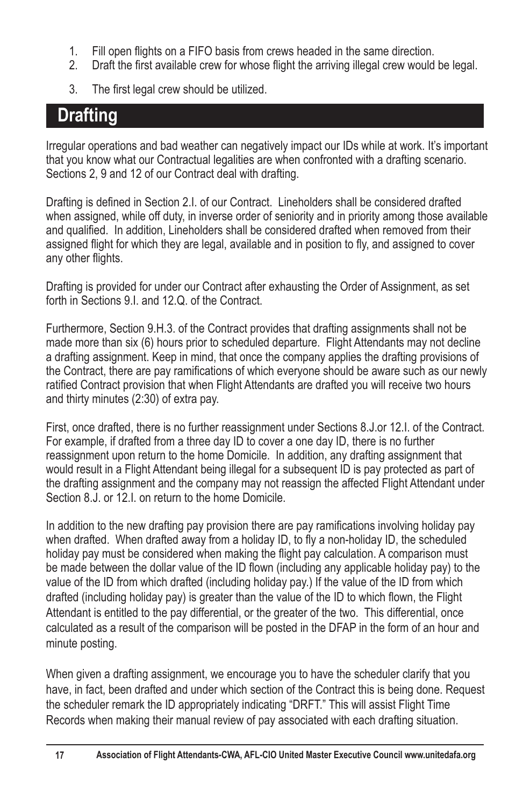- 1. Fill open flights on a FIFO basis from crews headed in the same direction.<br>2. Draft the first available crew for whose flight the arriving illegal crew would
- Draft the first available crew for whose flight the arriving illegal crew would be legal.
- 3. The first legal crew should be utilized.

# **Drafting**

Irregular operations and bad weather can negatively impact our IDs while at work. It's important that you know what our Contractual legalities are when confronted with a drafting scenario. Sections 2, 9 and 12 of our Contract deal with drafting.

Drafting is defined in Section 2.1. of our Contract. Lineholders shall be considered drafted when assigned, while off duty, in inverse order of seniority and in priority among those available and qualified. In addition, Lineholders shall be considered drafted when removed from their assigned flight for which they are legal, available and in position to fly, and assigned to cover any other flights.

Drafting is provided for under our Contract after exhausting the Order of Assignment, as set forth in Sections 9.1, and 12.Q. of the Contract.

Furthermore, Section 9.H.3. of the Contract provides that drafting assignments shall not be made more than six (6) hours prior to scheduled departure. Flight Attendants may not decline a drafting assignment. Keep in mind, that once the company applies the drafting provisions of the Contract, there are pay ramifications of which everyone should be aware such as our newly ratified Contract provision that when Flight Attendants are drafted you will receive two hours and thirty minutes (2:30) of extra pay.

First, once drafted, there is no further reassignment under Sections 8.J.or 12.I. of the Contract. For example, if drafted from a three day ID to cover a one day ID, there is no further reassignment upon return to the home Domicile. In addition, any drafting assignment that would result in a Flight Attendant being illegal for a subsequent ID is pay protected as part of the drafting assignment and the company may not reassign the affected Flight Attendant under Section 8.J. or 12.I. on return to the home Domicile.

In addition to the new drafting pay provision there are pay ramifications involving holiday pay when drafted. When drafted away from a holiday ID, to fly a non-holiday ID, the scheduled holiday pay must be considered when making the flight pay calculation. A comparison must be made between the dollar value of the ID flown (including any applicable holiday pay) to the value of the ID from which drafted (including holiday pay.) If the value of the ID from which drafted (including holiday pay) is greater than the value of the ID to which flown, the Flight Attendant is entitled to the pay differential, or the greater of the two. This differential, once calculated as a result of the comparison will be posted in the DFAP in the form of an hour and minute posting.

When given a drafting assignment, we encourage you to have the scheduler clarify that you have, in fact, been drafted and under which section of the Contract this is being done. Request the scheduler remark the ID appropriately indicating "DRFT." This will assist Flight Time Records when making their manual review of pay associated with each drafting situation.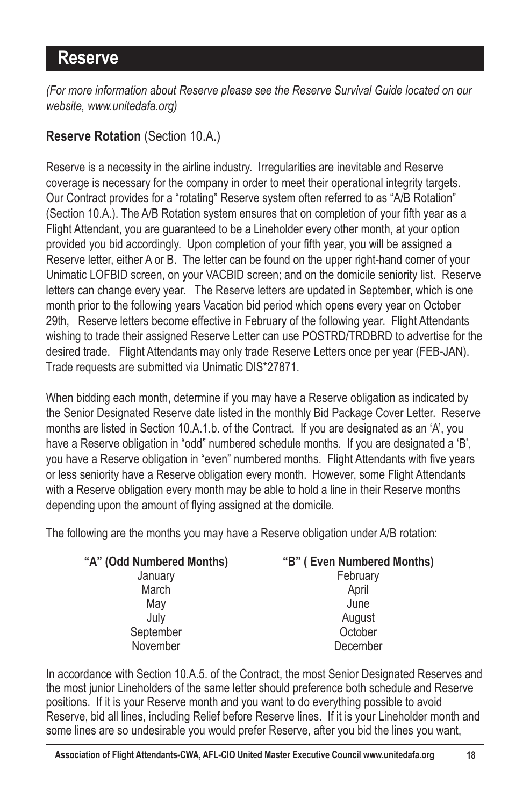# **Reserve**

*(For more information about Reserve please see the Reserve Survival Guide located on our website, www.unitedafa.org)*

## **Reserve Rotation** (Section 10.A.)

Reserve is a necessity in the airline industry. Irregularities are inevitable and Reserve coverage is necessary for the company in order to meet their operational integrity targets. Our Contract provides for a "rotating" Reserve system often referred to as "A/B Rotation" (Section 10.A.). The A/B Rotation system ensures that on completion of your fifth year as a Flight Attendant, you are guaranteed to be a Lineholder every other month, at your option provided you bid accordingly. Upon completion of your fifth year, you will be assigned a Reserve letter, either A or B. The letter can be found on the upper right-hand corner of your Unimatic LOFBID screen, on your VACBID screen; and on the domicile seniority list. Reserve letters can change every year. The Reserve letters are updated in September, which is one month prior to the following years Vacation bid period which opens every year on October 29th, Reserve letters become effective in February of the following year. Flight Attendants wishing to trade their assigned Reserve Letter can use POSTRD/TRDBRD to advertise for the desired trade. Flight Attendants may only trade Reserve Letters once per year (FEB-JAN). Trade requests are submitted via Unimatic DIS\*27871.

When bidding each month, determine if you may have a Reserve obligation as indicated by the Senior Designated Reserve date listed in the monthly Bid Package Cover Letter. Reserve months are listed in Section 10.A.1.b. of the Contract. If you are designated as an 'A', you have a Reserve obligation in "odd" numbered schedule months. If you are designated a 'B', you have a Reserve obligation in "even" numbered months. Flight Attendants with five years or less seniority have a Reserve obligation every month. However, some Flight Attendants with a Reserve obligation every month may be able to hold a line in their Reserve months depending upon the amount of flying assigned at the domicile.

The following are the months you may have a Reserve obligation under A/B rotation:

| "A" (Odd Numbered Months) | "B" (Even Numbered Months) |
|---------------------------|----------------------------|
| January                   | February                   |
| March                     | April                      |
| May                       | June                       |
| July                      | August                     |
| September                 | October                    |
| November                  | December                   |
|                           |                            |

In accordance with Section 10.A.5. of the Contract, the most Senior Designated Reserves and the most junior Lineholders of the same letter should preference both schedule and Reserve positions. If it is your Reserve month and you want to do everything possible to avoid Reserve, bid all lines, including Relief before Reserve lines. If it is your Lineholder month and some lines are so undesirable you would prefer Reserve, after you bid the lines you want,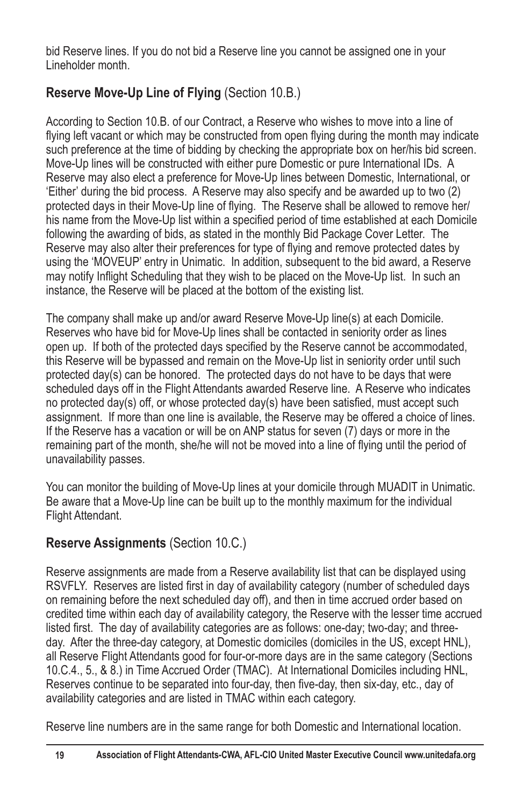bid Reserve lines. If you do not bid a Reserve line you cannot be assigned one in your Lineholder month.

# **Reserve Move-Up Line of Flying** (Section 10.B.)

According to Section 10.B. of our Contract, a Reserve who wishes to move into a line of flying left vacant or which may be constructed from open flying during the month may indicate such preference at the time of bidding by checking the appropriate box on her/his bid screen. Move-Up lines will be constructed with either pure Domestic or pure International IDs. A Reserve may also elect a preference for Move-Up lines between Domestic, International, or 'Either' during the bid process. A Reserve may also specify and be awarded up to two (2) protected days in their Move-Up line of flying. The Reserve shall be allowed to remove her/ his name from the Move-Up list within a specified period of time established at each Domicile following the awarding of bids, as stated in the monthly Bid Package Cover Letter. The Reserve may also alter their preferences for type of flying and remove protected dates by using the 'MOVEUP' entry in Unimatic. In addition, subsequent to the bid award, a Reserve may notify Inflight Scheduling that they wish to be placed on the Move-Up list. In such an instance, the Reserve will be placed at the bottom of the existing list.

The company shall make up and/or award Reserve Move-Up line(s) at each Domicile. Reserves who have bid for Move-Up lines shall be contacted in seniority order as lines open up. If both of the protected days specified by the Reserve cannot be accommodated, this Reserve will be bypassed and remain on the Move-Up list in seniority order until such protected day(s) can be honored. The protected days do not have to be days that were scheduled days off in the Flight Attendants awarded Reserve line. A Reserve who indicates no protected day(s) off, or whose protected day(s) have been satisfied, must accept such assignment. If more than one line is available, the Reserve may be offered a choice of lines. If the Reserve has a vacation or will be on ANP status for seven (7) days or more in the remaining part of the month, she/he will not be moved into a line of flying until the period of unavailability passes.

You can monitor the building of Move-Up lines at your domicile through MUADIT in Unimatic. Be aware that a Move-Up line can be built up to the monthly maximum for the individual Flight Attendant.

# **Reserve Assignments** (Section 10.C.)

Reserve assignments are made from a Reserve availability list that can be displayed using RSVFLY. Reserves are listed first in day of availability category (number of scheduled days on remaining before the next scheduled day off), and then in time accrued order based on credited time within each day of availability category, the Reserve with the lesser time accrued listed first. The day of availability categories are as follows: one-day; two-day; and threeday. After the three-day category, at Domestic domiciles (domiciles in the US, except HNL), all Reserve Flight Attendants good for four-or-more days are in the same category (Sections 10.C.4., 5., & 8.) in Time Accrued Order (TMAC). At International Domiciles including HNL, Reserves continue to be separated into four-day, then five-day, then six-day, etc., day of availability categories and are listed in TMAC within each category.

Reserve line numbers are in the same range for both Domestic and International location.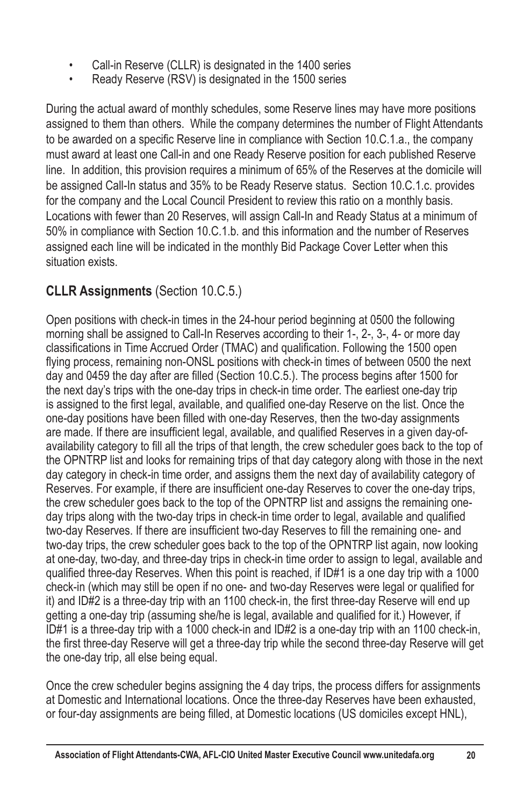- Call-in Reserve (CLLR) is designated in the 1400 series
- Ready Reserve (RSV) is designated in the 1500 series

During the actual award of monthly schedules, some Reserve lines may have more positions assigned to them than others. While the company determines the number of Flight Attendants to be awarded on a specific Reserve line in compliance with Section 10.C.1.a., the company must award at least one Call-in and one Ready Reserve position for each published Reserve line. In addition, this provision requires a minimum of 65% of the Reserves at the domicile will be assigned Call-In status and 35% to be Ready Reserve status. Section 10.C.1.c. provides for the company and the Local Council President to review this ratio on a monthly basis. Locations with fewer than 20 Reserves, will assign Call-In and Ready Status at a minimum of 50% in compliance with Section 10.C.1.b. and this information and the number of Reserves assigned each line will be indicated in the monthly Bid Package Cover Letter when this situation exists.

# **CLLR Assignments** (Section 10.C.5.)

Open positions with check-in times in the 24-hour period beginning at 0500 the following morning shall be assigned to Call-In Reserves according to their 1-, 2-, 3-, 4- or more day classifications in Time Accrued Order (TMAC) and qualification. Following the 1500 open flying process, remaining non-ONSL positions with check-in times of between 0500 the next day and 0459 the day after are filled (Section 10.C.5.). The process begins after 1500 for the next day's trips with the one-day trips in check-in time order. The earliest one-day trip is assigned to the first legal, available, and qualified one-day Reserve on the list. Once the one-day positions have been filled with one-day Reserves, then the two-day assignments are made. If there are insufficient legal, available, and qualified Reserves in a given day-ofavailability category to fill all the trips of that length, the crew scheduler goes back to the top of the OPNTRP list and looks for remaining trips of that day category along with those in the next day category in check-in time order, and assigns them the next day of availability category of Reserves. For example, if there are insufficient one-day Reserves to cover the one-day trips, the crew scheduler goes back to the top of the OPNTRP list and assigns the remaining oneday trips along with the two-day trips in check-in time order to legal, available and qualified two-day Reserves. If there are insufficient two-day Reserves to fill the remaining one- and two-day trips, the crew scheduler goes back to the top of the OPNTRP list again, now looking at one-day, two-day, and three-day trips in check-in time order to assign to legal, available and qualified three-day Reserves. When this point is reached, if  $ID#1$  is a one day trip with a 1000 check-in (which may still be open if no one- and two-day Reserves were legal or qualified for it) and ID#2 is a three-day trip with an 1100 check-in, the first three-day Reserve will end up getting a one-day trip (assuming she/he is legal, available and qualified for it.) However, if ID#1 is a three-day trip with a 1000 check-in and ID#2 is a one-day trip with an 1100 check-in, the first three-day Reserve will get a three-day trip while the second three-day Reserve will get the one-day trip, all else being equal.

Once the crew scheduler begins assigning the 4 day trips, the process differs for assignments at Domestic and International locations. Once the three-day Reserves have been exhausted, or four-day assignments are being filled, at Domestic locations (US domiciles except HNL),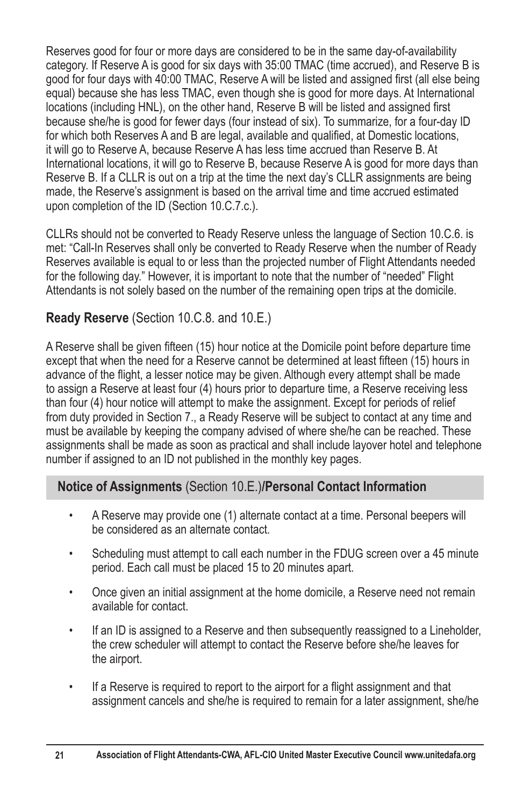Reserves good for four or more days are considered to be in the same day-of-availability category. If Reserve A is good for six days with 35:00 TMAC (time accrued), and Reserve B is good for four days with 40:00 TMAC, Reserve A will be listed and assigned first (all else being equal) because she has less TMAC, even though she is good for more days. At International locations (including HNL), on the other hand, Reserve B will be listed and assigned first because she/he is good for fewer days (four instead of six). To summarize, for a four-day ID for which both Reserves A and B are legal, available and qualified, at Domestic locations, it will go to Reserve A, because Reserve A has less time accrued than Reserve B. At International locations, it will go to Reserve B, because Reserve A is good for more days than Reserve B. If a CLLR is out on a trip at the time the next day's CLLR assignments are being made, the Reserve's assignment is based on the arrival time and time accrued estimated upon completion of the ID (Section 10.C.7.c.).

CLLRs should not be converted to Ready Reserve unless the language of Section 10.C.6. is met: "Call-In Reserves shall only be converted to Ready Reserve when the number of Ready Reserves available is equal to or less than the projected number of Flight Attendants needed for the following day." However, it is important to note that the number of "needed" Flight Attendants is not solely based on the number of the remaining open trips at the domicile.

## **Ready Reserve** (Section 10.C.8. and 10.E.)

A Reserve shall be given fifteen (15) hour notice at the Domicile point before departure time except that when the need for a Reserve cannot be determined at least fifteen (15) hours in advance of the flight, a lesser notice may be given. Although every attempt shall be made to assign a Reserve at least four (4) hours prior to departure time, a Reserve receiving less than four (4) hour notice will attempt to make the assignment. Except for periods of relief from duty provided in Section 7., a Ready Reserve will be subject to contact at any time and must be available by keeping the company advised of where she/he can be reached. These assignments shall be made as soon as practical and shall include layover hotel and telephone number if assigned to an ID not published in the monthly key pages.

## **Notice of Assignments** (Section 10.E.)**/Personal Contact Information**

- A Reserve may provide one (1) alternate contact at a time. Personal beepers will be considered as an alternate contact.
- Scheduling must attempt to call each number in the FDUG screen over a 45 minute period. Each call must be placed 15 to 20 minutes apart.
- Once given an initial assignment at the home domicile, a Reserve need not remain available for contact.
- If an ID is assigned to a Reserve and then subsequently reassigned to a Lineholder, the crew scheduler will attempt to contact the Reserve before she/he leaves for the airport.
- If a Reserve is required to report to the airport for a flight assignment and that assignment cancels and she/he is required to remain for a later assignment, she/he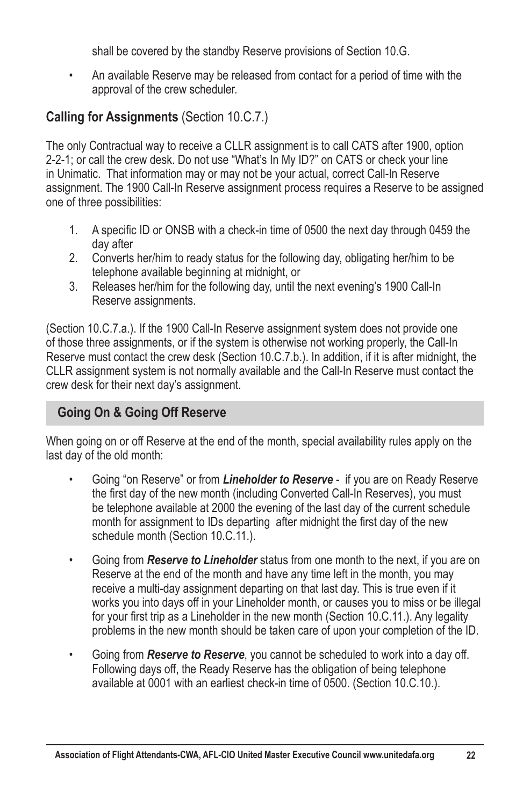shall be covered by the standby Reserve provisions of Section 10.G.

• An available Reserve may be released from contact for a period of time with the approval of the crew scheduler.

# **Calling for Assignments** (Section 10.C.7.)

The only Contractual way to receive a CLLR assignment is to call CATS after 1900, option 2-2-1; or call the crew desk. Do not use "What's In My ID?" on CATS or check your line in Unimatic. That information may or may not be your actual, correct Call-In Reserve assignment. The 1900 Call-In Reserve assignment process requires a Reserve to be assigned one of three possibilities:

- 1. A specific ID or ONSB with a check-in time of 0500 the next day through 0459 the day after
- 2. Converts her/him to ready status for the following day, obligating her/him to be telephone available beginning at midnight, or
- 3. Releases her/him for the following day, until the next evening's 1900 Call-In Reserve assignments.

(Section 10.C.7.a.). If the 1900 Call-In Reserve assignment system does not provide one of those three assignments, or if the system is otherwise not working properly, the Call-In Reserve must contact the crew desk (Section 10.C.7.b.). In addition, if it is after midnight, the CLLR assignment system is not normally available and the Call-In Reserve must contact the crew desk for their next day's assignment.

# **Going On & Going Off Reserve**

When going on or off Reserve at the end of the month, special availability rules apply on the last day of the old month:

- Going "on Reserve" or from *Lineholder to Reserve* if you are on Ready Reserve the first day of the new month (including Converted Call-In Reserves), you must be telephone available at 2000 the evening of the last day of the current schedule month for assignment to IDs departing after midnight the first day of the new schedule month (Section 10.C.11.).
- Going from *Reserve to Lineholder* status from one month to the next, if you are on Reserve at the end of the month and have any time left in the month, you may receive a multi-day assignment departing on that last day. This is true even if it works you into days off in your Lineholder month, or causes you to miss or be illegal for your first trip as a Lineholder in the new month (Section 10.C.11.). Any legality problems in the new month should be taken care of upon your completion of the ID.
- Going from *Reserve to Reserve*, you cannot be scheduled to work into a day off. Following days off, the Ready Reserve has the obligation of being telephone available at 0001 with an earliest check-in time of 0500. (Section 10.C.10.).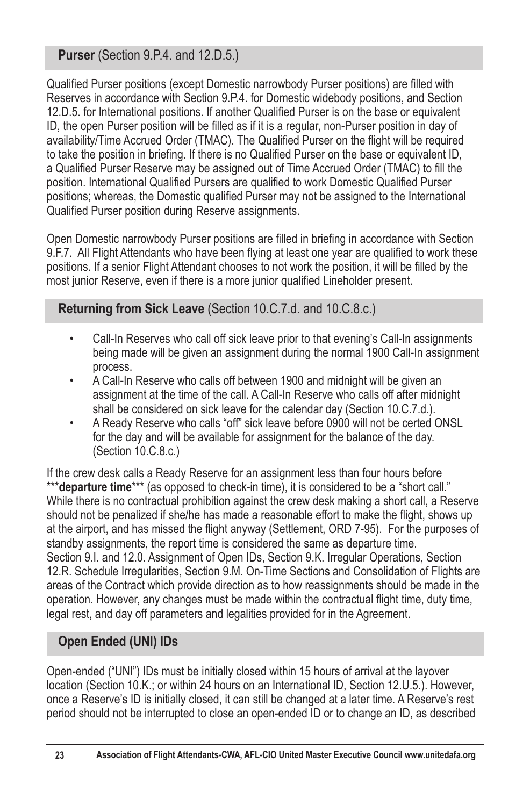**Purser** (Section 9.P.4. and 12.D.5.)

Qualified Purser positions (except Domestic narrowbody Purser positions) are filled with Reserves in accordance with Section 9.P.4. for Domestic widebody positions, and Section 12.D.5, for International positions, If another Qualified Purser is on the base or equivalent ID, the open Purser position will be filled as if it is a regular, non-Purser position in day of availability/Time Accrued Order (TMAC). The Qualified Purser on the flight will be required to take the position in briefing. If there is no Qualified Purser on the base or equivalent ID, a Qualified Purser Reserve may be assigned out of Time Accrued Order (TMAC) to fill the position. International Qualified Pursers are qualified to work Domestic Qualified Purser positions; whereas, the Domestic qualified Purser may not be assigned to the International Qualified Purser position during Reserve assignments.

Open Domestic narrowbody Purser positions are filled in briefing in accordance with Section 9.F.7. All Flight Attendants who have been flying at least one year are qualified to work these positions. If a senior Flight Attendant chooses to not work the position, it will be filled by the most junior Reserve, even if there is a more junior qualified Lineholder present.

**Returning from Sick Leave** (Section 10.C.7.d. and 10.C.8.c.)

- Call-In Reserves who call off sick leave prior to that evening's Call-In assignments being made will be given an assignment during the normal 1900 Call-In assignment process.
- A Call-In Reserve who calls off between 1900 and midnight will be given an assignment at the time of the call. A Call-In Reserve who calls off after midnight shall be considered on sick leave for the calendar day (Section 10.C.7.d.).
- A Ready Reserve who calls "off" sick leave before 0900 will not be certed ONSL for the day and will be available for assignment for the balance of the day. (Section 10.C.8.c.)

If the crew desk calls a Ready Reserve for an assignment less than four hours before \*\*\***departure time**\*\*\* (as opposed to check-in time), it is considered to be a "short call." While there is no contractual prohibition against the crew desk making a short call, a Reserve should not be penalized if she/he has made a reasonable effort to make the flight, shows up at the airport, and has missed the flight anyway (Settlement, ORD 7-95). For the purposes of standby assignments, the report time is considered the same as departure time. Section 9.I. and 12.0. Assignment of Open IDs, Section 9.K. Irregular Operations, Section 12.R. Schedule Irregularities, Section 9.M. On-Time Sections and Consolidation of Flights are areas of the Contract which provide direction as to how reassignments should be made in the operation. However, any changes must be made within the contractual flight time, duty time, legal rest, and day off parameters and legalities provided for in the Agreement.

# **Open Ended (UNI) IDs**

Open-ended ("UNI") IDs must be initially closed within 15 hours of arrival at the layover location (Section 10.K.; or within 24 hours on an International ID, Section 12.U.5.). However, once a Reserve's ID is initially closed, it can still be changed at a later time. A Reserve's rest period should not be interrupted to close an open-ended ID or to change an ID, as described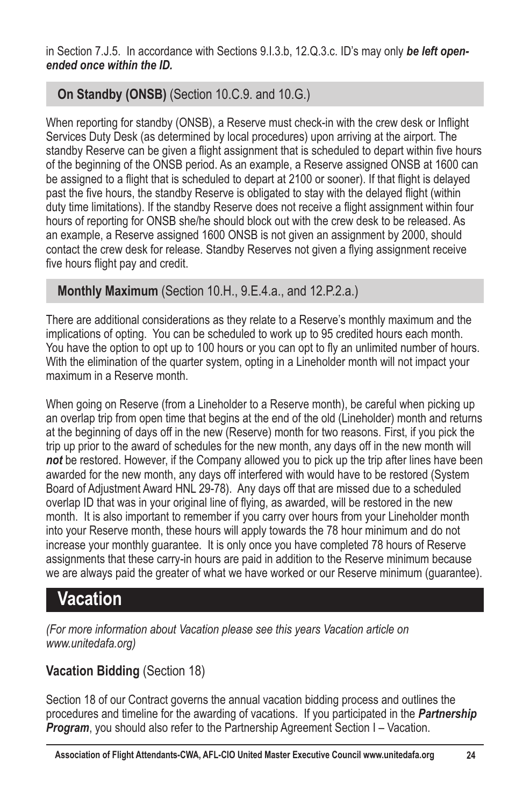in Section 7.J.5. In accordance with Sections 9.I.3.b, 12.Q.3.c. ID's may only be left open*ended once within the ID.*

# **On Standby (ONSB)** (Section 10.C.9. and 10.G.)

When reporting for standby (ONSB), a Reserve must check-in with the crew desk or Inflight Services Duty Desk (as determined by local procedures) upon arriving at the airport. The standby Reserve can be given a flight assignment that is scheduled to depart within five hours of the beginning of the ONSB period. As an example, a Reserve assigned ONSB at 1600 can be assigned to a flight that is scheduled to depart at 2100 or sooner). If that flight is delaved past the five hours, the standby Reserve is obligated to stay with the delayed flight (within duty time limitations). If the standby Reserve does not receive a flight assignment within four hours of reporting for ONSB she/he should block out with the crew desk to be released. As an example, a Reserve assigned 1600 ONSB is not given an assignment by 2000, should contact the crew desk for release. Standby Reserves not given a flying assignment receive five hours flight pay and credit.

# **Monthly Maximum** (Section 10.H., 9.E.4.a., and 12.P.2.a.)

There are additional considerations as they relate to a Reserve's monthly maximum and the implications of opting. You can be scheduled to work up to 95 credited hours each month. You have the option to opt up to 100 hours or you can opt to fly an unlimited number of hours. With the elimination of the quarter system, opting in a Lineholder month will not impact your maximum in a Reserve month.

When going on Reserve (from a Lineholder to a Reserve month), be careful when picking up an overlap trip from open time that begins at the end of the old (Lineholder) month and returns at the beginning of days off in the new (Reserve) month for two reasons. First, if you pick the trip up prior to the award of schedules for the new month, any days off in the new month will *not* be restored. However, if the Company allowed you to pick up the trip after lines have been awarded for the new month, any days off interfered with would have to be restored (System Board of Adjustment Award HNL 29-78). Any days off that are missed due to a scheduled overlap ID that was in your original line of flying, as awarded, will be restored in the new month. It is also important to remember if you carry over hours from your Lineholder month into your Reserve month, these hours will apply towards the 78 hour minimum and do not increase your monthly guarantee. It is only once you have completed 78 hours of Reserve assignments that these carry-in hours are paid in addition to the Reserve minimum because we are always paid the greater of what we have worked or our Reserve minimum (guarantee).

# **Vacation**

*(For more information about Vacation please see this years Vacation article on www.unitedafa.org)*

# **Vacation Bidding** (Section 18)

Section 18 of our Contract governs the annual vacation bidding process and outlines the procedures and timeline for the awarding of vacations. If you participated in the *Partnership*  **Program**, you should also refer to the Partnership Agreement Section I – Vacation.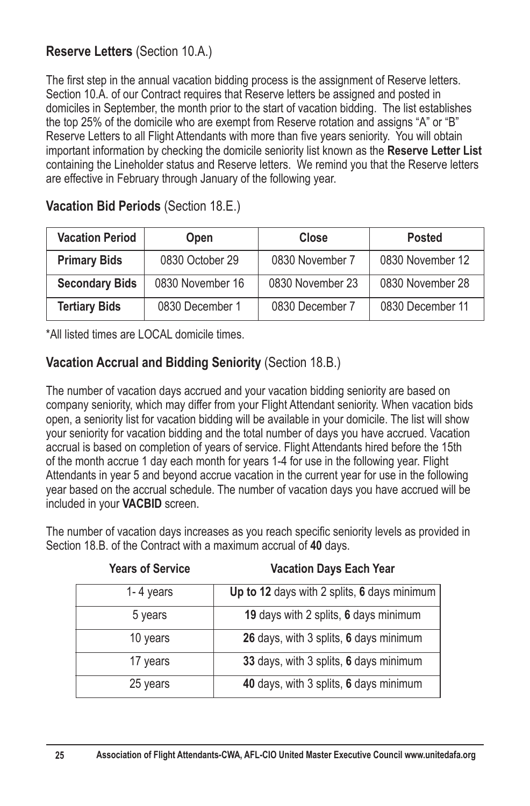## **Reserve Letters** (Section 10.A.)

The first step in the annual vacation bidding process is the assignment of Reserve letters. Section 10.A. of our Contract requires that Reserve letters be assigned and posted in domiciles in September, the month prior to the start of vacation bidding. The list establishes the top 25% of the domicile who are exempt from Reserve rotation and assigns "A" or "B" Reserve Letters to all Flight Attendants with more than five years seniority. You will obtain important information by checking the domicile seniority list known as the **Reserve Letter List** containing the Lineholder status and Reserve letters. We remind you that the Reserve letters are effective in February through January of the following year.

| <b>Vacation Period</b><br><b>Open</b> |                  | Close            | Posted           |  |  |
|---------------------------------------|------------------|------------------|------------------|--|--|
| <b>Primary Bids</b>                   | 0830 October 29  | 0830 November 7  | 0830 November 12 |  |  |
| <b>Secondary Bids</b>                 | 0830 November 16 | 0830 November 23 | 0830 November 28 |  |  |
| <b>Tertiary Bids</b>                  | 0830 December 1  | 0830 December 7  | 0830 December 11 |  |  |

**Vacation Bid Periods** (Section 18.E.)

\*All listed times are LOCAL domicile times.

#### **Vacation Accrual and Bidding Seniority** (Section 18.B.)

The number of vacation days accrued and your vacation bidding seniority are based on company seniority, which may differ from your Flight Attendant seniority. When vacation bids open, a seniority list for vacation bidding will be available in your domicile. The list will show your seniority for vacation bidding and the total number of days you have accrued. Vacation accrual is based on completion of years of service. Flight Attendants hired before the 15th of the month accrue 1 day each month for years 1-4 for use in the following year. Flight Attendants in year 5 and beyond accrue vacation in the current year for use in the following year based on the accrual schedule. The number of vacation days you have accrued will be included in your **VACBID** screen.

The number of vacation days increases as you reach specific seniority levels as provided in Section 18.B. of the Contract with a maximum accrual of **40** days.

| <b>Years of Service</b> | <b>Vacation Days Each Year</b>              |
|-------------------------|---------------------------------------------|
| 1-4 years               | Up to 12 days with 2 splits, 6 days minimum |
| 5 years                 | 19 days with 2 splits, 6 days minimum       |
| 10 years                | 26 days, with 3 splits, 6 days minimum      |
| 17 years                | 33 days, with 3 splits, 6 days minimum      |
| 25 years                | 40 days, with 3 splits, 6 days minimum      |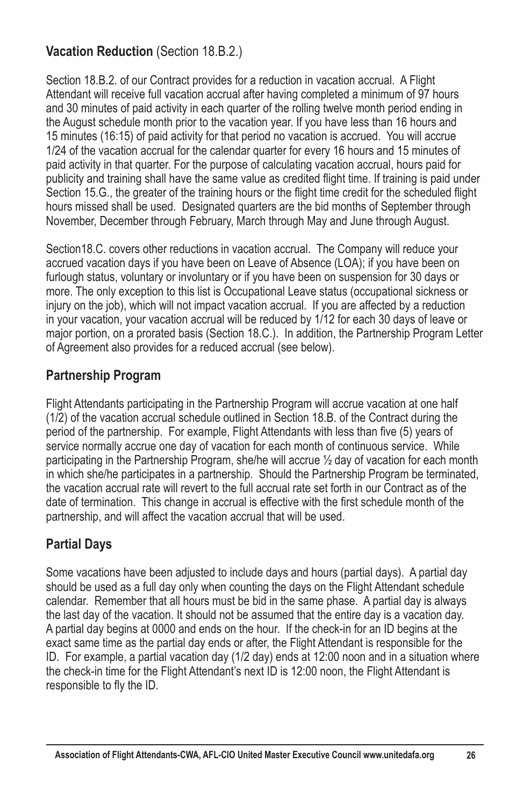# **Vacation Reduction** (Section 18.B.2.)

Section 18.B.2. of our Contract provides for a reduction in vacation accrual. A Flight Attendant will receive full vacation accrual after having completed a minimum of 97 hours and 30 minutes of paid activity in each quarter of the rolling twelve month period ending in the August schedule month prior to the vacation year. If you have less than 16 hours and 15 minutes (16:15) of paid activity for that period no vacation is accrued. You will accrue 1/24 of the vacation accrual for the calendar quarter for every 16 hours and 15 minutes of paid activity in that quarter. For the purpose of calculating vacation accrual, hours paid for publicity and training shall have the same value as credited flight time. If training is paid under Section 15.G., the greater of the training hours or the flight time credit for the scheduled flight hours missed shall be used. Designated quarters are the bid months of September through November, December through February, March through May and June through August.

Section18.C. covers other reductions in vacation accrual. The Company will reduce your accrued vacation days if you have been on Leave of Absence (LOA); if you have been on furlough status, voluntary or involuntary or if you have been on suspension for 30 days or more. The only exception to this list is Occupational Leave status (occupational sickness or injury on the job), which will not impact vacation accrual. If you are affected by a reduction in your vacation, your vacation accrual will be reduced by 1/12 for each 30 days of leave or major portion, on a prorated basis (Section 18.C.). In addition, the Partnership Program Letter of Agreement also provides for a reduced accrual (see below).

## **Partnership Program**

Flight Attendants participating in the Partnership Program will accrue vacation at one half (1/2) of the vacation accrual schedule outlined in Section 18.B. of the Contract during the period of the partnership. For example, Flight Attendants with less than five (5) years of service normally accrue one day of vacation for each month of continuous service. While participating in the Partnership Program, she/he will accrue ½ day of vacation for each month in which she/he participates in a partnership. Should the Partnership Program be terminated, the vacation accrual rate will revert to the full accrual rate set forth in our Contract as of the date of termination. This change in accrual is effective with the first schedule month of the partnership, and will affect the vacation accrual that will be used.

# **Partial Days**

Some vacations have been adjusted to include days and hours (partial days). A partial day should be used as a full day only when counting the days on the Flight Attendant schedule calendar. Remember that all hours must be bid in the same phase. A partial day is always the last day of the vacation. It should not be assumed that the entire day is a vacation day. A partial day begins at 0000 and ends on the hour. If the check-in for an ID begins at the exact same time as the partial day ends or after, the Flight Attendant is responsible for the ID. For example, a partial vacation day (1/2 day) ends at 12:00 noon and in a situation where the check-in time for the Flight Attendant's next ID is 12:00 noon, the Flight Attendant is responsible to fly the ID.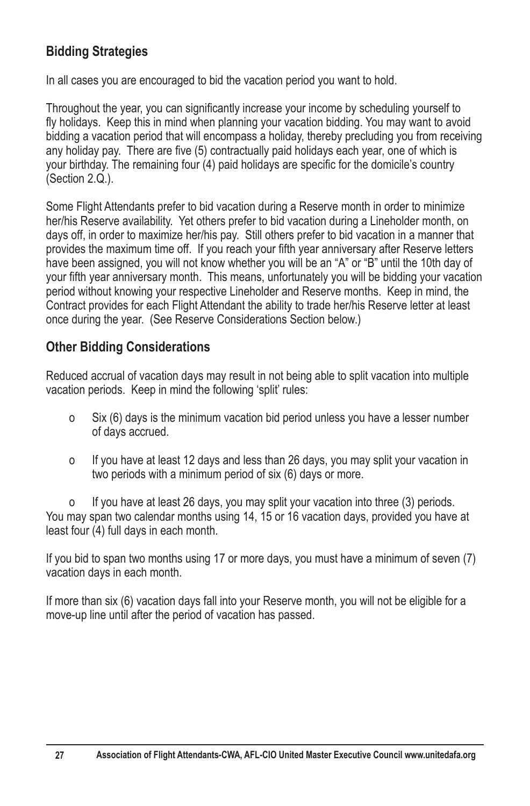## **Bidding Strategies**

In all cases you are encouraged to bid the vacation period you want to hold.

Throughout the year, you can significantly increase your income by scheduling yourself to fly holidays. Keep this in mind when planning your vacation bidding. You may want to avoid bidding a vacation period that will encompass a holiday, thereby precluding you from receiving any holiday pay. There are five (5) contractually paid holidays each year, one of which is your birthday. The remaining four (4) paid holidays are specific for the domicile's country  $(Section 2.Q.)$ .

Some Flight Attendants prefer to bid vacation during a Reserve month in order to minimize her/his Reserve availability. Yet others prefer to bid vacation during a Lineholder month, on days off, in order to maximize her/his pay. Still others prefer to bid vacation in a manner that provides the maximum time off. If you reach your fifth year anniversary after Reserve letters have been assigned, you will not know whether you will be an "A" or "B" until the 10th day of your fifth year anniversary month. This means, unfortunately you will be bidding your vacation period without knowing your respective Lineholder and Reserve months. Keep in mind, the Contract provides for each Flight Attendant the ability to trade her/his Reserve letter at least once during the year. (See Reserve Considerations Section below.)

## **Other Bidding Considerations**

Reduced accrual of vacation days may result in not being able to split vacation into multiple vacation periods. Keep in mind the following 'split' rules:

- o Six (6) days is the minimum vacation bid period unless you have a lesser number of days accrued.
- o If you have at least 12 days and less than 26 days, you may split your vacation in two periods with a minimum period of six (6) days or more.

o If you have at least 26 days, you may split your vacation into three (3) periods. You may span two calendar months using 14, 15 or 16 vacation days, provided you have at least four (4) full days in each month.

If you bid to span two months using 17 or more days, you must have a minimum of seven (7) vacation days in each month.

If more than six (6) vacation days fall into your Reserve month, you will not be eligible for a move-up line until after the period of vacation has passed.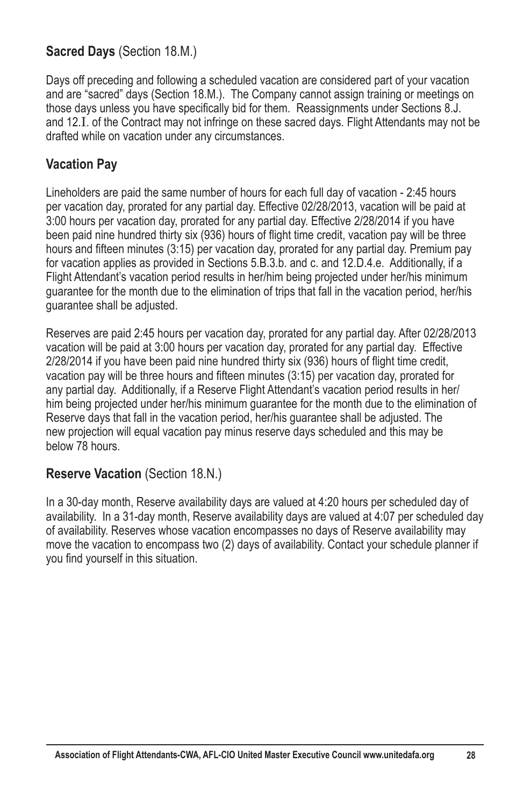#### **Sacred Days** (Section 18.M.)

Days off preceding and following a scheduled vacation are considered part of your vacation and are "sacred" days (Section 18.M.). The Company cannot assign training or meetings on those days unless you have specifically bid for them. Reassignments under Sections 8.J. and 12.I. of the Contract may not infringe on these sacred days. Flight Attendants may not be drafted while on vacation under any circumstances.

#### **Vacation Pay**

Lineholders are paid the same number of hours for each full day of vacation - 2:45 hours per vacation day, prorated for any partial day. Effective 02/28/2013, vacation will be paid at 3:00 hours per vacation day, prorated for any partial day. Effective 2/28/2014 if you have been paid nine hundred thirty six (936) hours of flight time credit, vacation pay will be three hours and fifteen minutes (3:15) per vacation day, prorated for any partial day. Premium pay for vacation applies as provided in Sections 5.B.3.b. and c. and 12.D.4.e. Additionally, if a Flight Attendant's vacation period results in her/him being projected under her/his minimum guarantee for the month due to the elimination of trips that fall in the vacation period, her/his guarantee shall be adjusted.

Reserves are paid 2:45 hours per vacation day, prorated for any partial day. After 02/28/2013 vacation will be paid at 3:00 hours per vacation day, prorated for any partial day. Effective 2/28/2014 if you have been paid nine hundred thirty six (936) hours of flight time credit, vacation pay will be three hours and fifteen minutes (3:15) per vacation day, prorated for any partial day. Additionally, if a Reserve Flight Attendant's vacation period results in her/ him being projected under her/his minimum guarantee for the month due to the elimination of Reserve days that fall in the vacation period, her/his guarantee shall be adjusted. The new projection will equal vacation pay minus reserve days scheduled and this may be below 78 hours.

#### **Reserve Vacation** (Section 18.N.)

In a 30-day month, Reserve availability days are valued at 4:20 hours per scheduled day of availability. In a 31-day month, Reserve availability days are valued at 4:07 per scheduled day of availability. Reserves whose vacation encompasses no days of Reserve availability may move the vacation to encompass two (2) days of availability. Contact your schedule planner if you find yourself in this situation.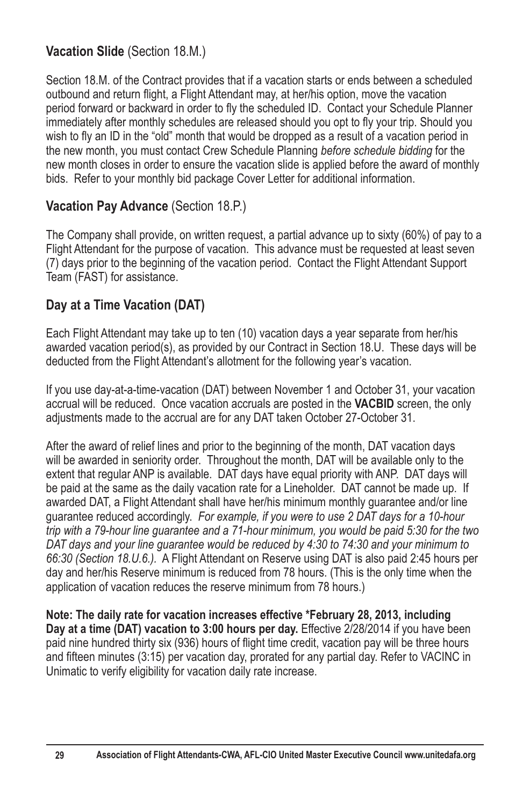## **Vacation Slide** (Section 18.M.)

Section 18.M. of the Contract provides that if a vacation starts or ends between a scheduled outbound and return flight, a Flight Attendant may, at her/his option, move the vacation period forward or backward in order to fly the scheduled ID. Contact your Schedule Planner immediately after monthly schedules are released should you opt to fly your trip. Should you wish to fly an ID in the "old" month that would be dropped as a result of a vacation period in the new month, you must contact Crew Schedule Planning *before schedule bidding* for the new month closes in order to ensure the vacation slide is applied before the award of monthly bids. Refer to your monthly bid package Cover Letter for additional information.

## **Vacation Pay Advance (Section 18.P.)**

The Company shall provide, on written request, a partial advance up to sixty (60%) of pay to a Flight Attendant for the purpose of vacation. This advance must be requested at least seven (7) days prior to the beginning of the vacation period. Contact the Flight Attendant Support Team (FAST) for assistance.

# **Day at a Time Vacation (DAT)**

Each Flight Attendant may take up to ten (10) vacation days a year separate from her/his awarded vacation period(s), as provided by our Contract in Section 18.U. These days will be deducted from the Flight Attendant's allotment for the following year's vacation.

If you use day-at-a-time-vacation (DAT) between November 1 and October 31, your vacation accrual will be reduced. Once vacation accruals are posted in the **VACBID** screen, the only adjustments made to the accrual are for any DAT taken October 27-October 31.

After the award of relief lines and prior to the beginning of the month, DAT vacation days will be awarded in seniority order. Throughout the month, DAT will be available only to the extent that regular ANP is available. DAT days have equal priority with ANP. DAT days will be paid at the same as the daily vacation rate for a Lineholder. DAT cannot be made up. If awarded DAT, a Flight Attendant shall have her/his minimum monthly guarantee and/or line guarantee reduced accordingly. *For example, if you were to use 2 DAT days for a 10-hour trip with a 79-hour line guarantee and a 71-hour minimum, you would be paid 5:30 for the two DAT days and your line guarantee would be reduced by 4:30 to 74:30 and your minimum to 66:30 (Section 18.U.6.).* A Flight Attendant on Reserve using DAT is also paid 2:45 hours per day and her/his Reserve minimum is reduced from 78 hours. (This is the only time when the application of vacation reduces the reserve minimum from 78 hours.)

**Note: The daily rate for vacation increases effective \*February 28, 2013, including Day at a time (DAT) vacation to 3:00 hours per day.** Effective 2/28/2014 if you have been paid nine hundred thirty six (936) hours of flight time credit, vacation pay will be three hours and fifteen minutes  $(3:15)$  per vacation day, prorated for any partial day. Refer to VACINC in Unimatic to verify eligibility for vacation daily rate increase.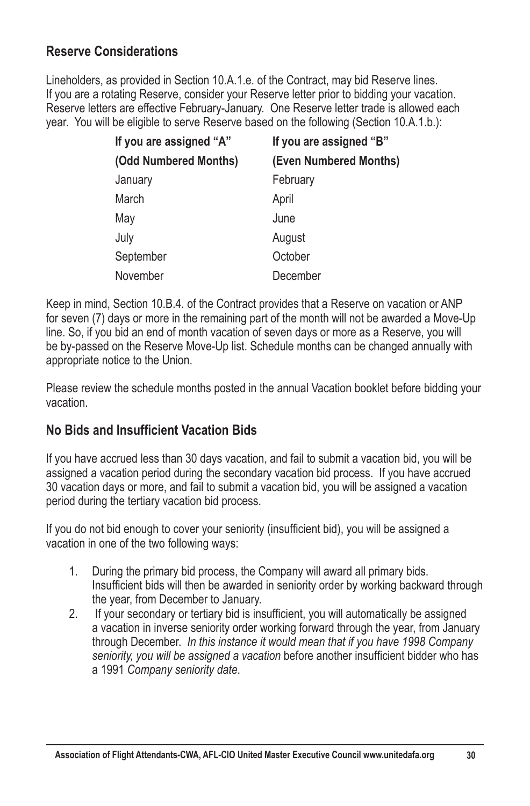#### **Reserve Considerations**

Lineholders, as provided in Section 10.A.1.e. of the Contract, may bid Reserve lines. If you are a rotating Reserve, consider your Reserve letter prior to bidding your vacation. Reserve letters are effective February-January. One Reserve letter trade is allowed each year. You will be eligible to serve Reserve based on the following (Section 10.A.1.b.):

| If you are assigned "A" | If you are assigned "B" |
|-------------------------|-------------------------|
| (Odd Numbered Months)   | (Even Numbered Months)  |
| January                 | February                |
| March                   | April                   |
| May                     | June                    |
| July                    | August                  |
| September               | October                 |
| November                | December                |

Keep in mind, Section 10.B.4. of the Contract provides that a Reserve on vacation or ANP for seven (7) days or more in the remaining part of the month will not be awarded a Move-Up line. So, if you bid an end of month vacation of seven days or more as a Reserve, you will be by-passed on the Reserve Move-Up list. Schedule months can be changed annually with appropriate notice to the Union.

Please review the schedule months posted in the annual Vacation booklet before bidding your vacation.

#### **No Bids and Insufficient Vacation Bids**

If you have accrued less than 30 days vacation, and fail to submit a vacation bid, you will be assigned a vacation period during the secondary vacation bid process. If you have accrued 30 vacation days or more, and fail to submit a vacation bid, you will be assigned a vacation period during the tertiary vacation bid process.

If you do not bid enough to cover your seniority (insufficient bid), you will be assigned a vacation in one of the two following ways:

- 1. During the primary bid process, the Company will award all primary bids. Insufficient bids will then be awarded in seniority order by working backward through the year, from December to January.
- 2. If your secondary or tertiary bid is insufficient, you will automatically be assigned a vacation in inverse seniority order working forward through the year, from January through December. *In this instance it would mean that if you have 1998 Company*  seniority, you will be assigned a vacation before another insufficient bidder who has a 1991 *Company seniority date*.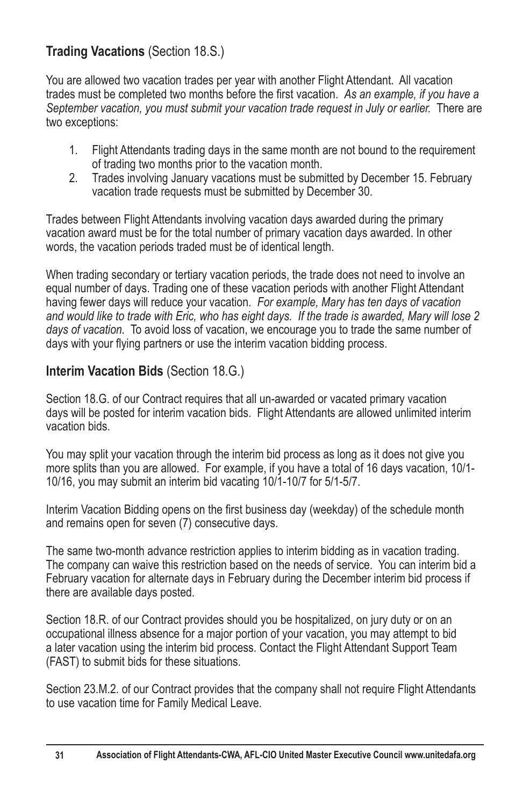## **Trading Vacations** (Section 18.S.)

You are allowed two vacation trades per year with another Flight Attendant. All vacation trades must be completed two months before the first vacation. As an example, if you have a *September vacation, you must submit your vacation trade request in July or earlier.* There are two exceptions:

- 1. Flight Attendants trading days in the same month are not bound to the requirement of trading two months prior to the vacation month.
- 2. Trades involving January vacations must be submitted by December 15. February vacation trade requests must be submitted by December 30.

Trades between Flight Attendants involving vacation days awarded during the primary vacation award must be for the total number of primary vacation days awarded. In other words, the vacation periods traded must be of identical length.

When trading secondary or tertiary vacation periods, the trade does not need to involve an equal number of days. Trading one of these vacation periods with another Flight Attendant having fewer days will reduce your vacation. *For example, Mary has ten days of vacation and would like to trade with Eric, who has eight days. If the trade is awarded, Mary will lose 2 days of vacation.* To avoid loss of vacation, we encourage you to trade the same number of days with your flying partners or use the interim vacation bidding process.

#### **Interim Vacation Bids** (Section 18.G.)

Section 18.G. of our Contract requires that all un-awarded or vacated primary vacation days will be posted for interim vacation bids. Flight Attendants are allowed unlimited interim vacation bids.

You may split your vacation through the interim bid process as long as it does not give you more splits than you are allowed. For example, if you have a total of 16 days vacation, 10/1- 10/16, you may submit an interim bid vacating 10/1-10/7 for 5/1-5/7.

Interim Vacation Bidding opens on the first business day (weekday) of the schedule month and remains open for seven (7) consecutive days.

The same two-month advance restriction applies to interim bidding as in vacation trading. The company can waive this restriction based on the needs of service. You can interim bid a February vacation for alternate days in February during the December interim bid process if there are available days posted.

Section 18.R. of our Contract provides should you be hospitalized, on jury duty or on an occupational illness absence for a major portion of your vacation, you may attempt to bid a later vacation using the interim bid process. Contact the Flight Attendant Support Team (FAST) to submit bids for these situations.

Section 23.M.2. of our Contract provides that the company shall not require Flight Attendants to use vacation time for Family Medical Leave.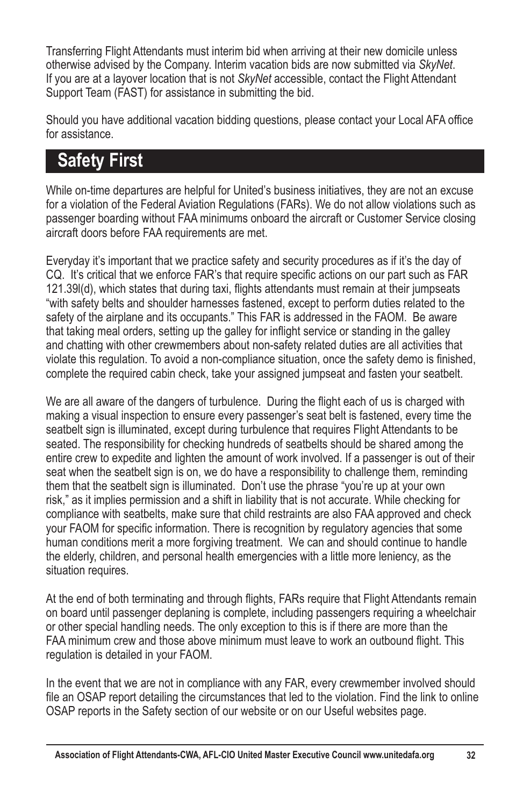Transferring Flight Attendants must interim bid when arriving at their new domicile unless otherwise advised by the Company. Interim vacation bids are now submitted via *SkyNet*. If you are at a layover location that is not *SkyNet* accessible, contact the Flight Attendant Support Team (FAST) for assistance in submitting the bid.

Should you have additional vacation bidding questions, please contact your Local AFA office for assistance.

# **Safety First**

While on-time departures are helpful for United's business initiatives, they are not an excuse for a violation of the Federal Aviation Regulations (FARs). We do not allow violations such as passenger boarding without FAA minimums onboard the aircraft or Customer Service closing aircraft doors before FAA requirements are met.

Everyday it's important that we practice safety and security procedures as if it's the day of CQ. It's critical that we enforce FAR's that require specific actions on our part such as FAR 121.39(d), which states that during taxi, flights attendants must remain at their jumpseats "with safety belts and shoulder harnesses fastened, except to perform duties related to the safety of the airplane and its occupants." This FAR is addressed in the FAOM. Be aware that taking meal orders, setting up the galley for inflight service or standing in the galley and chatting with other crewmembers about non-safety related duties are all activities that violate this regulation. To avoid a non-compliance situation, once the safety demo is finished, complete the required cabin check, take your assigned jumpseat and fasten your seatbelt.

We are all aware of the dangers of turbulence. During the flight each of us is charged with making a visual inspection to ensure every passenger's seat belt is fastened, every time the seatbelt sign is illuminated, except during turbulence that requires Flight Attendants to be seated. The responsibility for checking hundreds of seatbelts should be shared among the entire crew to expedite and lighten the amount of work involved. If a passenger is out of their seat when the seatbelt sign is on, we do have a responsibility to challenge them, reminding them that the seatbelt sign is illuminated. Don't use the phrase "you're up at your own risk," as it implies permission and a shift in liability that is not accurate. While checking for compliance with seatbelts, make sure that child restraints are also FAA approved and check vour FAOM for specific information. There is recognition by regulatory agencies that some human conditions merit a more forgiving treatment. We can and should continue to handle the elderly, children, and personal health emergencies with a little more leniency, as the situation requires.

At the end of both terminating and through flights, FARs require that Flight Attendants remain on board until passenger deplaning is complete, including passengers requiring a wheelchair or other special handling needs. The only exception to this is if there are more than the FAA minimum crew and those above minimum must leave to work an outbound flight. This regulation is detailed in your FAOM.

In the event that we are not in compliance with any FAR, every crewmember involved should file an OSAP report detailing the circumstances that led to the violation. Find the link to online OSAP reports in the Safety section of our website or on our Useful websites page.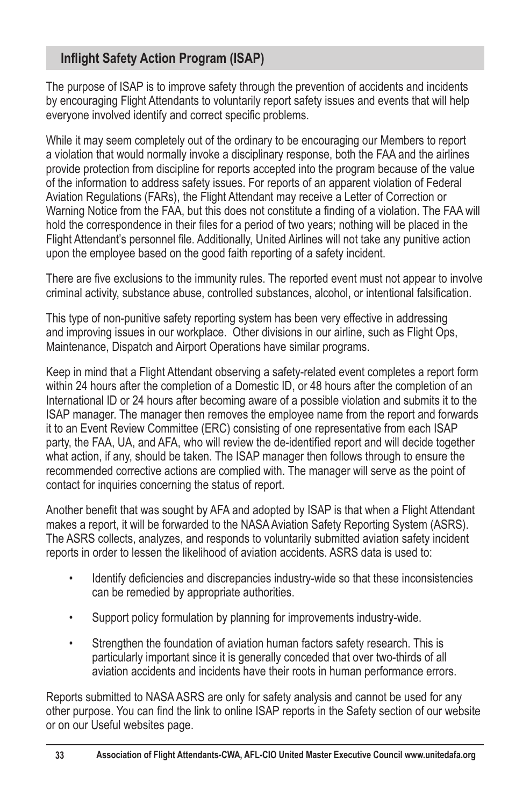#### **Inflight Safety Action Program (ISAP)**

The purpose of ISAP is to improve safety through the prevention of accidents and incidents by encouraging Flight Attendants to voluntarily report safety issues and events that will help everyone involved identify and correct specific problems.

While it may seem completely out of the ordinary to be encouraging our Members to report a violation that would normally invoke a disciplinary response, both the FAA and the airlines provide protection from discipline for reports accepted into the program because of the value of the information to address safety issues. For reports of an apparent violation of Federal Aviation Regulations (FARs), the Flight Attendant may receive a Letter of Correction or Warning Notice from the FAA, but this does not constitute a finding of a violation. The FAA will hold the correspondence in their files for a period of two years; nothing will be placed in the Flight Attendant's personnel file. Additionally, United Airlines will not take any punitive action upon the employee based on the good faith reporting of a safety incident.

There are five exclusions to the immunity rules. The reported event must not appear to involve criminal activity, substance abuse, controlled substances, alcohol, or intentional falsification.

This type of non-punitive safety reporting system has been very effective in addressing and improving issues in our workplace. Other divisions in our airline, such as Flight Ops, Maintenance, Dispatch and Airport Operations have similar programs.

Keep in mind that a Flight Attendant observing a safety-related event completes a report form within 24 hours after the completion of a Domestic ID, or 48 hours after the completion of an International ID or 24 hours after becoming aware of a possible violation and submits it to the ISAP manager. The manager then removes the employee name from the report and forwards it to an Event Review Committee (ERC) consisting of one representative from each ISAP party, the FAA, UA, and AFA, who will review the de-identified report and will decide together what action, if any, should be taken. The ISAP manager then follows through to ensure the recommended corrective actions are complied with. The manager will serve as the point of contact for inquiries concerning the status of report.

Another benefit that was sought by AFA and adopted by ISAP is that when a Flight Attendant makes a report, it will be forwarded to the NASA Aviation Safety Reporting System (ASRS). The ASRS collects, analyzes, and responds to voluntarily submitted aviation safety incident reports in order to lessen the likelihood of aviation accidents. ASRS data is used to:

- Identify deficiencies and discrepancies industry-wide so that these inconsistencies can be remedied by appropriate authorities.
- Support policy formulation by planning for improvements industry-wide.
- Strengthen the foundation of aviation human factors safety research. This is particularly important since it is generally conceded that over two-thirds of all aviation accidents and incidents have their roots in human performance errors.

Reports submitted to NASA ASRS are only for safety analysis and cannot be used for any other purpose. You can find the link to online ISAP reports in the Safety section of our website or on our Useful websites page.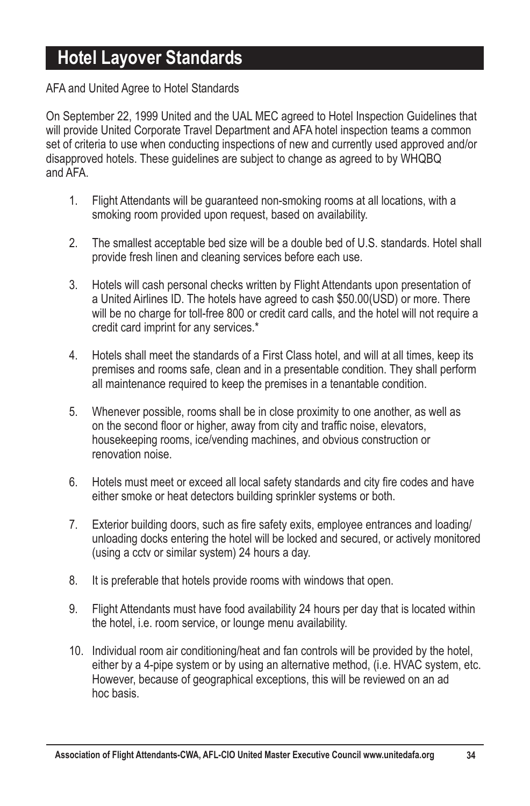# **Hotel Layover Standards**

#### AFA and United Agree to Hotel Standards

On September 22, 1999 United and the UAL MEC agreed to Hotel Inspection Guidelines that will provide United Corporate Travel Department and AFA hotel inspection teams a common set of criteria to use when conducting inspections of new and currently used approved and/or disapproved hotels. These quidelines are subject to change as agreed to by WHQBQ and AFA.

- 1. Flight Attendants will be guaranteed non-smoking rooms at all locations, with a smoking room provided upon request, based on availability.
- 2. The smallest acceptable bed size will be a double bed of U.S. standards. Hotel shall provide fresh linen and cleaning services before each use.
- 3. Hotels will cash personal checks written by Flight Attendants upon presentation of a United Airlines ID. The hotels have agreed to cash \$50.00(USD) or more. There will be no charge for toll-free 800 or credit card calls, and the hotel will not require a credit card imprint for any services.\*
- 4. Hotels shall meet the standards of a First Class hotel, and will at all times, keep its premises and rooms safe, clean and in a presentable condition. They shall perform all maintenance required to keep the premises in a tenantable condition.
- 5. Whenever possible, rooms shall be in close proximity to one another, as well as on the second floor or higher, away from city and traffic noise, elevators, housekeeping rooms, ice/vending machines, and obvious construction or renovation noise.
- 6. Hotels must meet or exceed all local safety standards and city fire codes and have either smoke or heat detectors building sprinkler systems or both.
- 7. Exterior building doors, such as fire safety exits, employee entrances and loading/ unloading docks entering the hotel will be locked and secured, or actively monitored (using a cctv or similar system) 24 hours a day.
- 8. It is preferable that hotels provide rooms with windows that open.
- 9. Flight Attendants must have food availability 24 hours per day that is located within the hotel, i.e. room service, or lounge menu availability.
- 10. Individual room air conditioning/heat and fan controls will be provided by the hotel, either by a 4-pipe system or by using an alternative method, (i.e. HVAC system, etc. However, because of geographical exceptions, this will be reviewed on an ad hoc basis.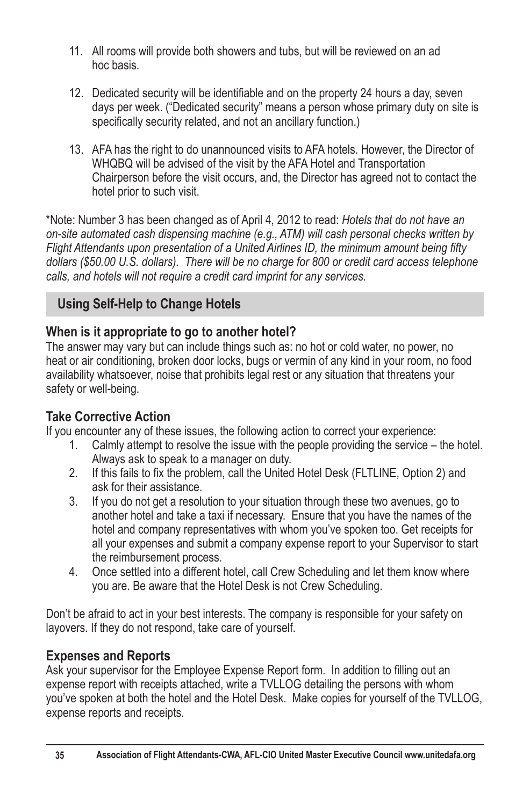- 11. All rooms will provide both showers and tubs, but will be reviewed on an ad hoc basis.
- 12. Dedicated security will be identifiable and on the property 24 hours a day, seven days per week. ("Dedicated security" means a person whose primary duty on site is specifically security related, and not an ancillary function.)
- 13. AFA has the right to do unannounced visits to AFA hotels. However, the Director of WHQBQ will be advised of the visit by the AFA Hotel and Transportation Chairperson before the visit occurs, and, the Director has agreed not to contact the hotel prior to such visit.

<sup>\*</sup>Note: Number 3 has been changed as of April 4, 2012 to read: Hotels that do not have an *on-site automated cash dispensing machine (e.g., ATM) will cash personal checks written by*  Flight Attendants upon presentation of a United Airlines ID, the minimum amount being fifty *dollars (\$50.00 U.S. dollars). There will be no charge for 800 or credit card access telephone calls, and hotels will not require a credit card imprint for any services.*

## **Using Self-Help to Change Hotels**

#### **When is it appropriate to go to another hotel?**

The answer may vary but can include things such as: no hot or cold water, no power, no heat or air conditioning, broken door locks, bugs or vermin of any kind in your room, no food availability whatsoever, noise that prohibits legal rest or any situation that threatens your safety or well-being.

## **Take Corrective Action**

If you encounter any of these issues, the following action to correct your experience:

- 1. Calmly attempt to resolve the issue with the people providing the service the hotel. Always ask to speak to a manager on duty.
- 2. If this fails to fix the problem, call the United Hotel Desk (FLTLINE, Option 2) and ask for their assistance.
- 3. If you do not get a resolution to your situation through these two avenues, go to another hotel and take a taxi if necessary. Ensure that you have the names of the hotel and company representatives with whom you've spoken too. Get receipts for all your expenses and submit a company expense report to your Supervisor to start the reimbursement process.
- 4. Once settled into a different hotel, call Crew Scheduling and let them know where you are. Be aware that the Hotel Desk is not Crew Scheduling.

Don't be afraid to act in your best interests. The company is responsible for your safety on layovers. If they do not respond, take care of yourself.

## **Expenses and Reports**

Ask your supervisor for the Employee Expense Report form. In addition to filling out an expense report with receipts attached, write a TVLLOG detailing the persons with whom you've spoken at both the hotel and the Hotel Desk. Make copies for yourself of the TVLLOG. expense reports and receipts.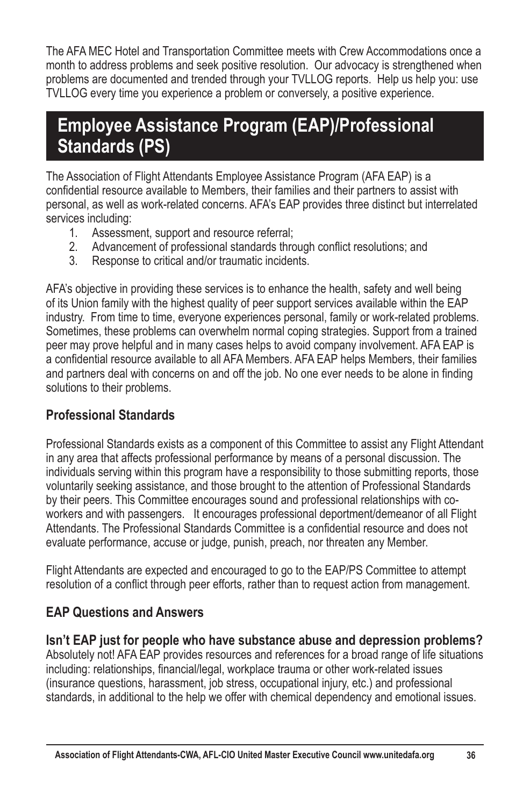The AFA MEC Hotel and Transportation Committee meets with Crew Accommodations once a month to address problems and seek positive resolution. Our advocacy is strengthened when problems are documented and trended through your TVLLOG reports. Help us help you: use TVLLOG every time you experience a problem or conversely, a positive experience.

# **Employee Assistance Program (EAP)/Professional Standards (PS)**

The Association of Flight Attendants Employee Assistance Program (AFA EAP) is a confidential resource available to Members, their families and their partners to assist with personal, as well as work-related concerns. AFA's EAP provides three distinct but interrelated services including:

- 1. Assessment, support and resource referral;
- 2. Advancement of professional standards through conflict resolutions; and<br>3. Response to critical and/or traumatic incidents
- Response to critical and/or traumatic incidents.

AFA's objective in providing these services is to enhance the health, safety and well being of its Union family with the highest quality of peer support services available within the EAP industry. From time to time, everyone experiences personal, family or work-related problems. Sometimes, these problems can overwhelm normal coping strategies. Support from a trained peer may prove helpful and in many cases helps to avoid company involvement. AFA EAP is a confidential resource available to all AFA Members. AFA EAP helps Members, their families and partners deal with concerns on and off the job. No one ever needs to be alone in finding solutions to their problems.

## **Professional Standards**

Professional Standards exists as a component of this Committee to assist any Flight Attendant in any area that affects professional performance by means of a personal discussion. The individuals serving within this program have a responsibility to those submitting reports, those voluntarily seeking assistance, and those brought to the attention of Professional Standards by their peers. This Committee encourages sound and professional relationships with coworkers and with passengers. It encourages professional deportment/demeanor of all Flight Attendants. The Professional Standards Committee is a confidential resource and does not evaluate performance, accuse or judge, punish, preach, nor threaten any Member.

Flight Attendants are expected and encouraged to go to the EAP/PS Committee to attempt resolution of a conflict through peer efforts, rather than to request action from management.

## **EAP Questions and Answers**

**Isn't EAP just for people who have substance abuse and depression problems?**

Absolutely not! AFA EAP provides resources and references for a broad range of life situations including: relationships, financial/legal, workplace trauma or other work-related issues (insurance questions, harassment, job stress, occupational injury, etc.) and professional standards, in additional to the help we offer with chemical dependency and emotional issues.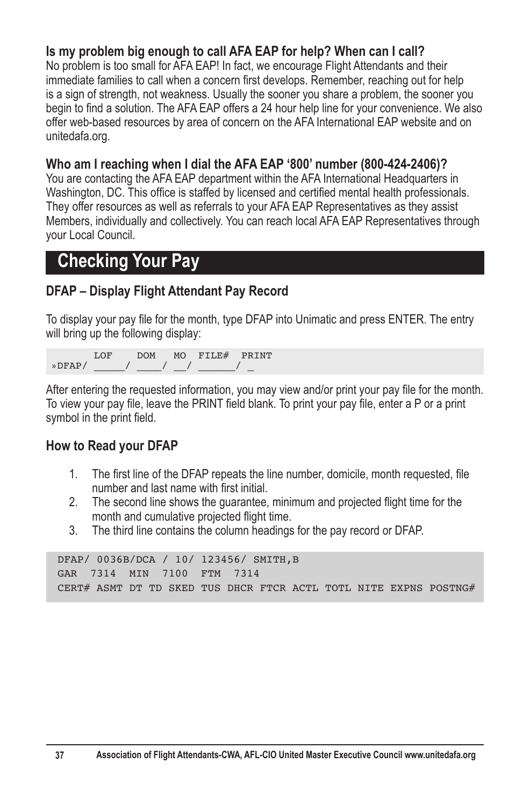#### **Is my problem big enough to call AFA EAP for help? When can I call?**

No problem is too small for AFA EAP! In fact, we encourage Flight Attendants and their immediate families to call when a concern first develops. Remember, reaching out for help is a sign of strength, not weakness. Usually the sooner you share a problem, the sooner you begin to find a solution. The AFA EAP offers a 24 hour help line for your convenience. We also offer web-based resources by area of concern on the AFA International EAP website and on unitedafa.org.

#### **Who am I reaching when I dial the AFA EAP '800' number (800-424-2406)?**

You are contacting the AFA EAP department within the AFA International Headquarters in Washington, DC. This office is staffed by licensed and certified mental health professionals. They offer resources as well as referrals to your AFA EAP Representatives as they assist Members, individually and collectively. You can reach local AFA EAP Representatives through your Local Council.

# **Checking Your Pay**

#### **DFAP – Display Flight Attendant Pay Record**

To display your pay file for the month, type DFAP into Unimatic and press ENTER. The entry will bring up the following display:

 LOF DOM MO FILE# PRINT  $v$  DFAP/

After entering the requested information, you may view and/or print your pay file for the month. To view your pay file, leave the PRINT field blank. To print your pay file, enter a P or a print symbol in the print field.

#### **How to Read your DFAP**

- 1. The first line of the DFAP repeats the line number, domicile, month requested, file number and last name with first initial.
- 2. The second line shows the guarantee, minimum and projected flight time for the month and cumulative projected flight time.
- 3. The third line contains the column headings for the pay record or DFAP.

```
DFAP/ 0036B/DCA / 10/ 123456/ SMITH,B
GAR 7314 MIN 7100 FTM 7314
CERT# ASMT DT TD SKED TUS DHCR FTCR ACTL TOTL NITE EXPNS POSTNG#
```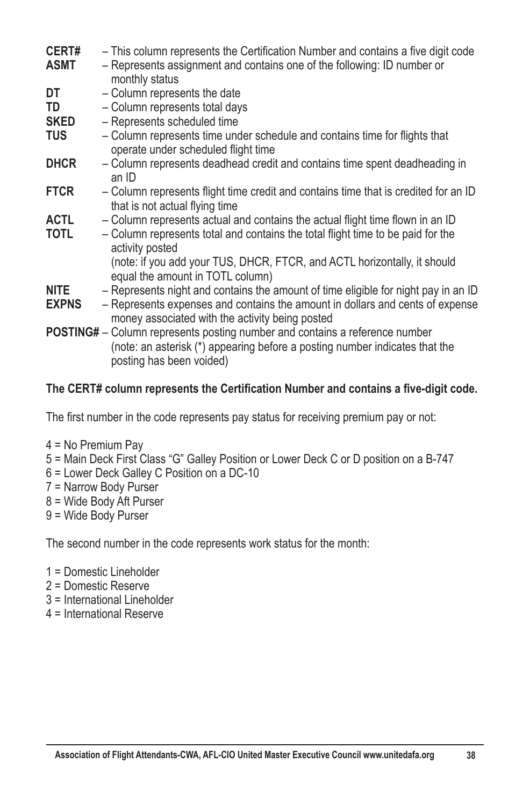| CERT#        | - This column represents the Certification Number and contains a five digit code                                                                                                       |
|--------------|----------------------------------------------------------------------------------------------------------------------------------------------------------------------------------------|
| ASMT         | - Represents assignment and contains one of the following: ID number or<br>monthly status                                                                                              |
| DT           | - Column represents the date                                                                                                                                                           |
| TD           | - Column represents total days                                                                                                                                                         |
| <b>SKED</b>  | - Represents scheduled time                                                                                                                                                            |
| <b>TUS</b>   | - Column represents time under schedule and contains time for flights that<br>operate under scheduled flight time                                                                      |
| <b>DHCR</b>  | - Column represents deadhead credit and contains time spent deadheading in<br>an ID                                                                                                    |
| <b>FTCR</b>  | - Column represents flight time credit and contains time that is credited for an ID<br>that is not actual flying time                                                                  |
| ACTL.        | - Column represents actual and contains the actual flight time flown in an ID                                                                                                          |
| <b>TOTL</b>  | - Column represents total and contains the total flight time to be paid for the<br>activity posted                                                                                     |
|              | (note: if you add your TUS, DHCR, FTCR, and ACTL horizontally, it should<br>equal the amount in TOTL column)                                                                           |
| NITE.        | - Represents night and contains the amount of time eligible for night pay in an ID                                                                                                     |
| <b>EXPNS</b> | - Represents expenses and contains the amount in dollars and cents of expense<br>money associated with the activity being posted                                                       |
|              | POSTING# - Column represents posting number and contains a reference number<br>(note: an asterisk (*) appearing before a posting number indicates that the<br>posting has been voided) |

#### The CERT# column represents the Certification Number and contains a five-digit code.

The first number in the code represents pay status for receiving premium pay or not:

- 4 = No Premium Pay
- 5 = Main Deck First Class "G" Galley Position or Lower Deck C or D position on a B-747
- 6 = Lower Deck Galley C Position on a DC-10
- 7 = Narrow Body Purser
- $8$  = Wide Body Aft Purser
- 9 = Wide Body Purser

The second number in the code represents work status for the month:

- 1 = Domestic Lineholder
- 2 = Domestic Reserve
- 3 = International Lineholder
- 4 = International Reserve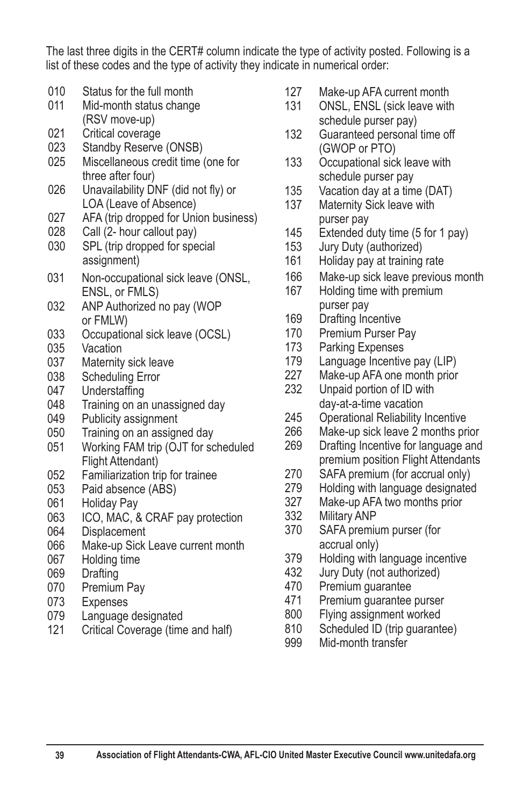The last three digits in the CERT# column indicate the type of activity posted. Following is a list of these codes and the type of activity they indicate in numerical order:

- 010 Status for the full month
- 011 Mid-month status change
- (RSV move-up)<br>021 Critical coverage 021 Critical coverage<br>023 Standby Reserve
- Standby Reserve (ONSB)
- 025 Miscellaneous credit time (one for three after four)<br>026 Unavailability DI
- Unavailability DNF (did not fly) or LOA (Leave of Absence)
- 027 AFA (trip dropped for Union business)<br>028 Call (2- hour callout pav)
- Call (2- hour callout pay)
- 030 SPL (trip dropped for special assignment)
- 031 Non-occupational sick leave (ONSL, ENSL, or FMLS)
- 032 ANP Authorized no pay (WOP or FMLW)
- 033 Occupational sick leave (OCSL)
- 035 Vacation<br>037 Maternity
- Maternity sick leave
- 038 Scheduling Error
- 047 Understaffing<br>048 Training on an
- Training on an unassigned day
- 049 Publicity assignment
- 050 Training on an assigned day<br>051 Working FAM trip (OJT for so
- Working FAM trip (OJT for scheduled Flight Attendant)
- 052 Familiarization trip for trainee<br>053 Paid absence (ABS)
- Paid absence (ABS)
- 061 Holiday Pay
- 063 ICO, MAC, & CRAF pay protection<br>064 Displacement
- **Displacement**
- 066 Make-up Sick Leave current month
- 067 Holding time
- 069 Drafting
- 070 Premium Pay
- 073 Expenses<br>079 Language
- Language designated
- 121 Critical Coverage (time and half)
- 127 Make-up AFA current month
- 131 ONSL, ENSL (sick leave with schedule purser pay)
- 132 Guaranteed personal time off (GWOP or PTO)<br>133 Occupational sic
- Occupational sick leave with schedule purser pay
- 135 Vacation day at a time (DAT)<br>137 Maternity Sick leave with
- Maternity Sick leave with purser pay<br>145 Extended d
- Extended duty time  $(5$  for 1 pay)
- 153 Jury Duty (authorized)
- 161 Holiday pay at training rate
- 166 Make-up sick leave previous month
- 167 Holding time with premium purser pay
- 169 Drafting Incentive
- 170 Premium Purser Pay
- 173 Parking Expenses
- 179 Language Incentive pay (LIP)
- 227 Make-up AFA one month prior<br>232 Unpaid portion of ID with
- Unpaid portion of ID with day-at-a-time vacation
- 245 Operational Reliability Incentive<br>266 Make-up sick leave 2 months pri
- Make-up sick leave 2 months prior
- 269 Drafting Incentive for language and premium position Flight Attendants<br>270 SAFA premium (for accrual only)
- SAFA premium (for accrual only)
- 279 Holding with language designated
- 327 Make-up AFA two months prior<br>332 Military ANP
- Military ANP
- 370 SAFA premium purser (for accrual only)<br>379 Holding with
- Holding with language incentive
- 432 Jury Duty (not authorized)
- 470 Premium guarantee
- 471 Premium guarantee purser
- 800 Flying assignment worked
- 810 Scheduled ID (trip guarantee)<br>999 Mid-month transfer
- Mid-month transfer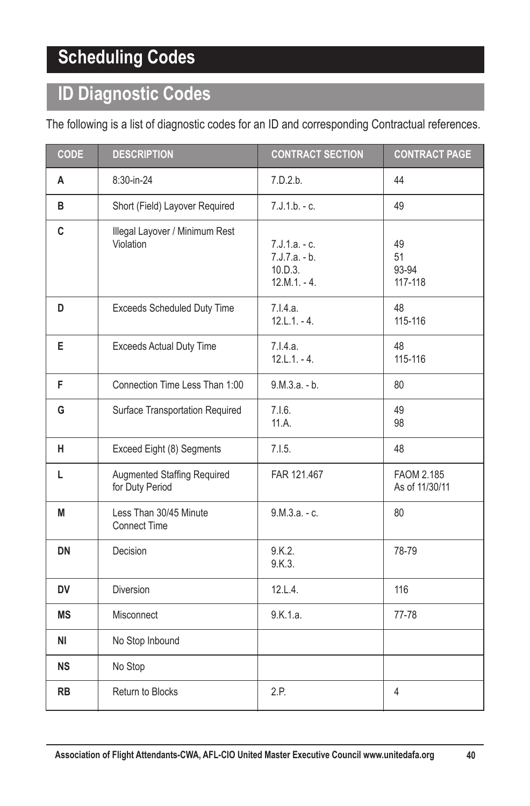# **Scheduling Codes**

# **ID Diagnostic Codes**

The following is a list of diagnostic codes for an ID and corresponding Contractual references.

| <b>CODE</b> | <b>DESCRIPTION</b>                                    | <b>CONTRACT SECTION</b>                                    | <b>CONTRACT PAGE</b>         |
|-------------|-------------------------------------------------------|------------------------------------------------------------|------------------------------|
| Α           | 8:30-in-24                                            | 7.D.2.b.                                                   | 44                           |
| в           | Short (Field) Layover Required                        | $7.J.1.b. - c.$                                            | 49                           |
| C           | Illegal Layover / Minimum Rest<br>Violation           | $7.J.1.a.-c.$<br>7.J.7.a. - b.<br>10.D.3.<br>$12.M.1 - 4.$ | 49<br>51<br>93-94<br>117-118 |
| D           | Exceeds Scheduled Duty Time                           | 7.I.4.a.<br>$12.L.1 - 4.$                                  | 48<br>115-116                |
| E           | <b>Exceeds Actual Duty Time</b>                       | 7.I.4.a.<br>$12.L.1.-4.$                                   | 48<br>115-116                |
| F           | Connection Time Less Than 1:00                        | $9.M.3.a. - b.$                                            | 80                           |
| G           | Surface Transportation Required                       | 7.1.6.<br>11.A                                             | 49<br>98                     |
| н           | Exceed Eight (8) Segments                             | 7.1.5.                                                     | 48                           |
| L           | <b>Augmented Staffing Required</b><br>for Duty Period | FAR 121.467                                                | FAOM 2.185<br>As of 11/30/11 |
| M           | Less Than 30/45 Minute<br><b>Connect Time</b>         | 9.М.З.а. - с.                                              | 80                           |
| <b>DN</b>   | Decision                                              | 9.K.2.<br>9.K.3.                                           | 78-79                        |
| <b>DV</b>   | <b>Diversion</b>                                      | 12.L.4.                                                    | 116                          |
| <b>MS</b>   | Misconnect                                            | 9.K.1.a.                                                   | 77-78                        |
| ΝI          | No Stop Inbound                                       |                                                            |                              |
| <b>NS</b>   | No Stop                                               |                                                            |                              |
| <b>RB</b>   | Return to Blocks                                      | 2.P.                                                       | 4                            |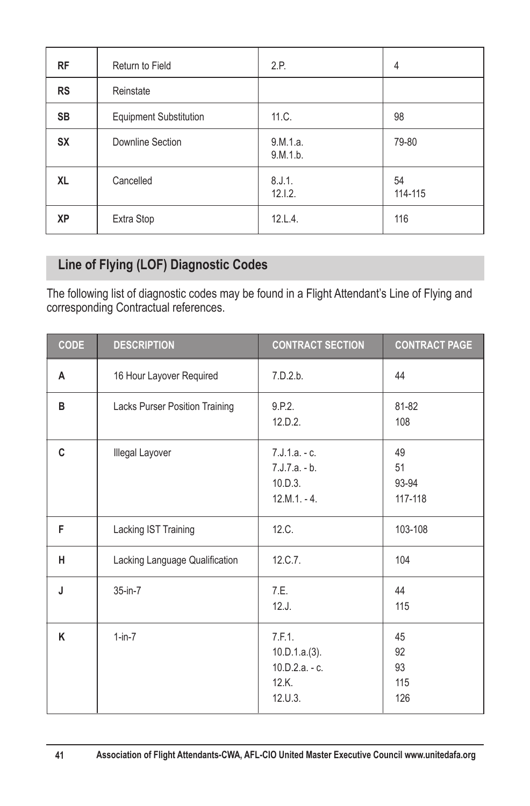| <b>RF</b> | Return to Field               | 2.P.                 | 4             |
|-----------|-------------------------------|----------------------|---------------|
| <b>RS</b> | Reinstate                     |                      |               |
| <b>SB</b> | <b>Equipment Substitution</b> | 11.C.                | 98            |
| <b>SX</b> | Downline Section              | 9.M.1.a.<br>9.M.1.b. | 79-80         |
| <b>XL</b> | Cancelled                     | 8.J.1.<br>12.1.2.    | 54<br>114-115 |
| XP        | Extra Stop                    | 12.L.4.              | 116           |

## **Line of Flying (LOF) Diagnostic Codes**

The following list of diagnostic codes may be found in a Flight Attendant's Line of Flying and corresponding Contractual references.

| <b>CODE</b> | <b>DESCRIPTION</b>             | <b>CONTRACT SECTION</b>                                        | <b>CONTRACT PAGE</b>         |
|-------------|--------------------------------|----------------------------------------------------------------|------------------------------|
| A           | 16 Hour Layover Required       | 7.D.2.b.                                                       | 44                           |
| B           | Lacks Purser Position Training | 9.P.2.<br>12.D.2.                                              | 81-82<br>108                 |
| C           | Illegal Layover                | $7.J.1.a. - c.$<br>$7.J.7.a. - b.$<br>10.D.3.<br>$12.M.1 - 4.$ | 49<br>51<br>93-94<br>117-118 |
| F           | Lacking IST Training           | 12.C.                                                          | 103-108                      |
| н           | Lacking Language Qualification | 12.C.7.                                                        | 104                          |
| J           | $35$ -in- $7$                  | 7.E.<br>12.J.                                                  | 44<br>115                    |
| K           | $1-in-7$                       | 7.F.1.<br>10.D.1.a.(3).<br>10.D.2.a. - c.<br>12.K.<br>12. U.3. | 45<br>92<br>93<br>115<br>126 |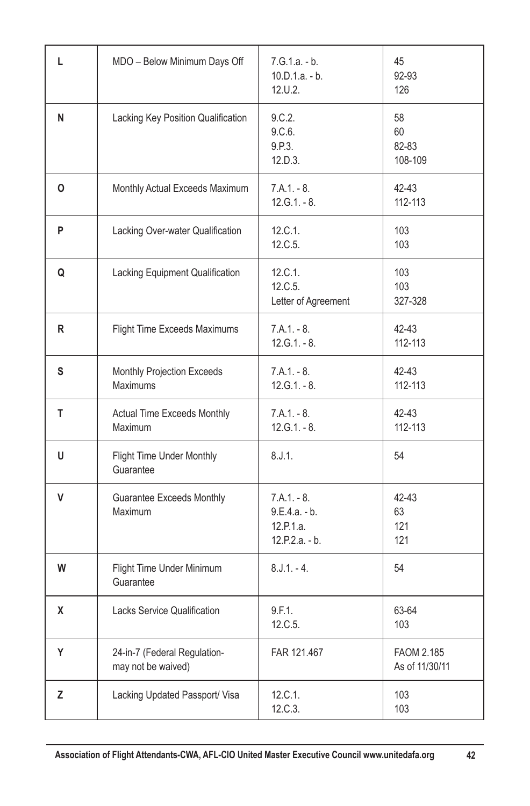| L | MDO - Below Minimum Days Off                       | 7.G.1.a. - b.<br>$10.D.1.a. - b.$<br>12.U.2.                     | 45<br>92-93<br>126           |
|---|----------------------------------------------------|------------------------------------------------------------------|------------------------------|
| N | Lacking Key Position Qualification                 | 9.C.2.<br>9.C.6.<br>9.P.3.<br>12.D.3.                            | 58<br>60<br>82-83<br>108-109 |
| O | Monthly Actual Exceeds Maximum                     | $7.A.1 - 8.$<br>$12.G.1.-8.$                                     | 42-43<br>112-113             |
| P | Lacking Over-water Qualification                   | 12.C.1.<br>12.C.5.                                               | 103<br>103                   |
| Q | Lacking Equipment Qualification                    | 12.C.1.<br>12.C.5.<br>Letter of Agreement                        | 103<br>103<br>327-328        |
| R | Flight Time Exceeds Maximums                       | $7.A.1 - 8.$<br>$12.G.1.-8.$                                     | 42-43<br>112-113             |
| s | Monthly Projection Exceeds<br>Maximums             | $7.A.1 - 8.$<br>$12.G.1.-8.$                                     | 42-43<br>112-113             |
| т | Actual Time Exceeds Monthly<br>Maximum             | $7.A.1 - 8.$<br>$12.G.1.-8.$                                     | 42-43<br>112-113             |
| U | Flight Time Under Monthly<br>Guarantee             | 8.J.1.                                                           | 54                           |
| V | <b>Guarantee Exceeds Monthly</b><br>Maximum        | $7.A.1 - 8.$<br>$9.E.4.a. - b.$<br>12.P.1.a.<br>$12.P.2.a. - b.$ | 42-43<br>63<br>121<br>121    |
| W | Flight Time Under Minimum<br>Guarantee             | $8.J.1.-4.$                                                      | 54                           |
| X | <b>Lacks Service Qualification</b>                 | 9.F.1.<br>12.C.5.                                                | 63-64<br>103                 |
| Y | 24-in-7 (Federal Regulation-<br>may not be waived) | FAR 121.467                                                      | FAOM 2.185<br>As of 11/30/11 |
| Z | Lacking Updated Passport/ Visa                     | 12.C.1.<br>12.C.3.                                               | 103<br>103                   |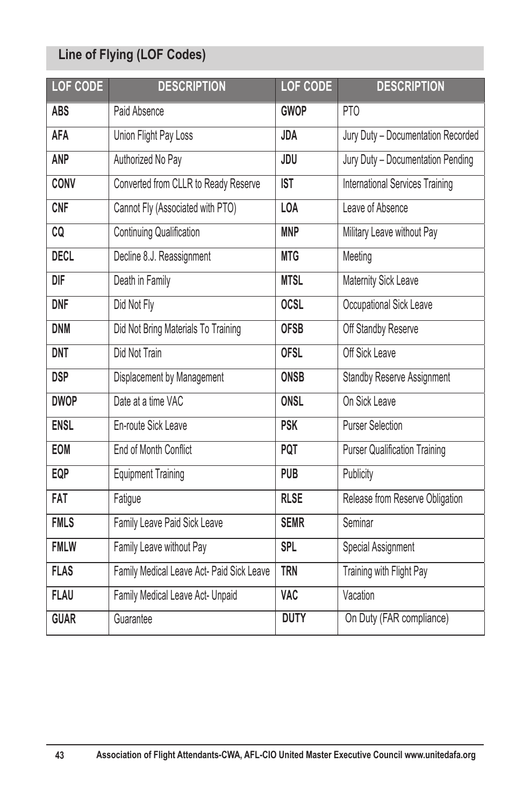# **Line of Flying (LOF Codes)**

| LOF CODE    | <b>DESCRIPTION</b>                        | <b>LOF CODE</b> | <b>DESCRIPTION</b>                   |
|-------------|-------------------------------------------|-----------------|--------------------------------------|
| <b>ABS</b>  | Paid Absence                              | <b>GWOP</b>     | PT <sub>0</sub>                      |
| <b>AFA</b>  | Union Flight Pay Loss                     | <b>JDA</b>      | Jury Duty - Documentation Recorded   |
| <b>ANP</b>  | Authorized No Pay                         | JDU             | Jury Duty - Documentation Pending    |
| CONV        | Converted from CLLR to Ready Reserve      | <b>IST</b>      | International Services Training      |
| <b>CNF</b>  | Cannot Fly (Associated with PTO)          | <b>LOA</b>      | Leave of Absence                     |
| CO          | <b>Continuing Qualification</b>           | <b>MNP</b>      | Military Leave without Pay           |
| <b>DECL</b> | Decline 8.J. Reassignment                 | <b>MTG</b>      | Meeting                              |
| DIF         | Death in Family                           | <b>MTSL</b>     | Maternity Sick Leave                 |
| <b>DNF</b>  | Did Not Fly                               | <b>OCSL</b>     | Occupational Sick Leave              |
| <b>DNM</b>  | Did Not Bring Materials To Training       | <b>OFSB</b>     | Off Standby Reserve                  |
| <b>DNT</b>  | Did Not Train                             | <b>OFSL</b>     | Off Sick Leave                       |
| <b>DSP</b>  | Displacement by Management                | <b>ONSB</b>     | <b>Standby Reserve Assignment</b>    |
| <b>DWOP</b> | Date at a time VAC                        | <b>ONSL</b>     | On Sick Leave                        |
| <b>ENSL</b> | En-route Sick Leave                       | <b>PSK</b>      | <b>Purser Selection</b>              |
| EOM         | End of Month Conflict                     | <b>PQT</b>      | <b>Purser Qualification Training</b> |
| EQP         | <b>Equipment Training</b>                 | <b>PUB</b>      | Publicity                            |
| <b>FAT</b>  | Fatigue                                   | <b>RLSE</b>     | Release from Reserve Obligation      |
| <b>FMLS</b> | Family Leave Paid Sick Leave              | <b>SEMR</b>     | Seminar                              |
| <b>FMLW</b> | Family Leave without Pay                  | <b>SPL</b>      | Special Assignment                   |
| <b>FLAS</b> | Family Medical Leave Act- Paid Sick Leave | <b>TRN</b>      | Training with Flight Pay             |
| <b>FLAU</b> | Family Medical Leave Act- Unpaid          | <b>VAC</b>      | Vacation                             |
| <b>GUAR</b> | Guarantee                                 | <b>DUTY</b>     | On Duty (FAR compliance)             |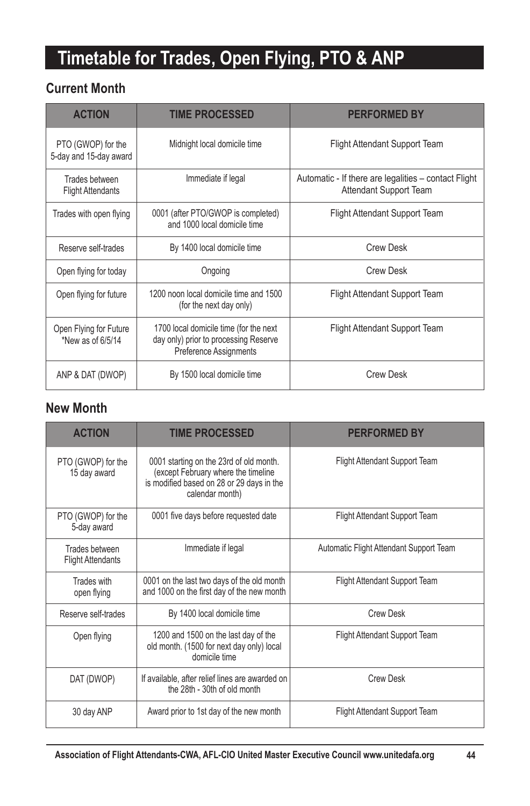# **Timetable for Trades, Open Flying, PTO & ANP**

# **Current Month**

| <b>ACTION</b>                                | <b>TIME PROCESSED</b>                                                                                     | <b>PERFORMED BY</b>                                                                   |
|----------------------------------------------|-----------------------------------------------------------------------------------------------------------|---------------------------------------------------------------------------------------|
| PTO (GWOP) for the<br>5-day and 15-day award | Midnight local domicile time                                                                              | <b>Flight Attendant Support Team</b>                                                  |
| Trades between<br><b>Flight Attendants</b>   | Immediate if legal                                                                                        | Automatic - If there are legalities - contact Flight<br><b>Attendant Support Team</b> |
| Trades with open flying                      | 0001 (after PTO/GWOP is completed)<br>and 1000 local domicile time                                        | <b>Flight Attendant Support Team</b>                                                  |
| Reserve self-trades                          | By 1400 local domicile time                                                                               | <b>Crew Desk</b>                                                                      |
| Open flying for today                        | Ongoing                                                                                                   | <b>Crew Desk</b>                                                                      |
| Open flying for future                       | 1200 noon local domicile time and 1500<br>(for the next day only)                                         | <b>Flight Attendant Support Team</b>                                                  |
| Open Flying for Future<br>*New as of 6/5/14  | 1700 local domicile time (for the next<br>day only) prior to processing Reserve<br>Preference Assignments | Flight Attendant Support Team                                                         |
| ANP & DAT (DWOP)                             | By 1500 local domicile time                                                                               | <b>Crew Desk</b>                                                                      |

#### **New Month**

| <b>ACTION</b>                              | <b>TIME PROCESSED</b>                                                                                                                          | <b>PERFORMED BY</b>                     |
|--------------------------------------------|------------------------------------------------------------------------------------------------------------------------------------------------|-----------------------------------------|
| PTO (GWOP) for the<br>15 day award         | 0001 starting on the 23rd of old month.<br>(except February where the timeline<br>is modified based on 28 or 29 days in the<br>calendar month) | Flight Attendant Support Team           |
| PTO (GWOP) for the<br>5-day award          | 0001 five days before requested date                                                                                                           | Flight Attendant Support Team           |
| Trades between<br><b>Flight Attendants</b> | Immediate if legal                                                                                                                             | Automatic Flight Attendant Support Team |
| Trades with<br>open flying                 | 0001 on the last two days of the old month<br>and 1000 on the first day of the new month                                                       | Flight Attendant Support Team           |
| Reserve self-trades                        | By 1400 local domicile time                                                                                                                    | <b>Crew Desk</b>                        |
| Open flying                                | 1200 and 1500 on the last day of the<br>old month. (1500 for next day only) local<br>domicile time                                             | Flight Attendant Support Team           |
| DAT (DWOP)                                 | If available, after relief lines are awarded on<br>the 28th - 30th of old month                                                                | <b>Crew Desk</b>                        |
| 30 day ANP                                 | Award prior to 1st day of the new month                                                                                                        | Flight Attendant Support Team           |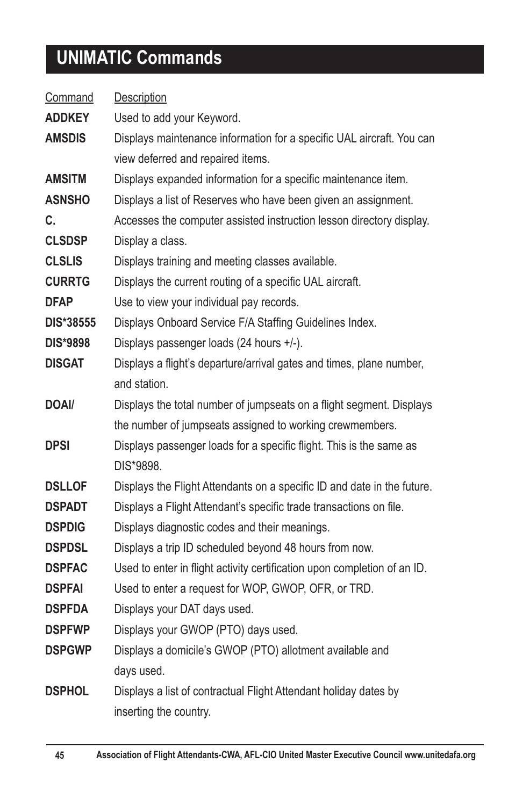# **UNIMATIC Commands**

| Command         | Description                                                              |
|-----------------|--------------------------------------------------------------------------|
| <b>ADDKEY</b>   | Used to add your Keyword.                                                |
| <b>AMSDIS</b>   | Displays maintenance information for a specific UAL aircraft. You can    |
|                 | view deferred and repaired items.                                        |
| AMSITM          | Displays expanded information for a specific maintenance item.           |
| ASNSHO          | Displays a list of Reserves who have been given an assignment.           |
| C.              | Accesses the computer assisted instruction lesson directory display.     |
| <b>CLSDSP</b>   | Display a class.                                                         |
| <b>CLSLIS</b>   | Displays training and meeting classes available.                         |
| <b>CURRTG</b>   | Displays the current routing of a specific UAL aircraft.                 |
| <b>DFAP</b>     | Use to view your individual pay records.                                 |
| DIS*38555       | Displays Onboard Service F/A Staffing Guidelines Index.                  |
| <b>DIS*9898</b> | Displays passenger loads (24 hours +/-).                                 |
| <b>DISGAT</b>   | Displays a flight's departure/arrival gates and times, plane number,     |
|                 | and station.                                                             |
| DOAI/           | Displays the total number of jumpseats on a flight segment. Displays     |
|                 | the number of jumpseats assigned to working crewmembers.                 |
| DPSI            | Displays passenger loads for a specific flight. This is the same as      |
|                 | DIS*9898.                                                                |
| <b>DSLLOF</b>   | Displays the Flight Attendants on a specific ID and date in the future.  |
| <b>DSPADT</b>   | Displays a Flight Attendant's specific trade transactions on file.       |
| <b>DSPDIG</b>   | Displays diagnostic codes and their meanings.                            |
| <b>DSPDSL</b>   | Displays a trip ID scheduled beyond 48 hours from now.                   |
| <b>DSPFAC</b>   | Used to enter in flight activity certification upon completion of an ID. |
| <b>DSPFAI</b>   | Used to enter a request for WOP, GWOP, OFR, or TRD.                      |
| <b>DSPFDA</b>   | Displays your DAT days used.                                             |
| <b>DSPFWP</b>   | Displays your GWOP (PTO) days used.                                      |
| <b>DSPGWP</b>   | Displays a domicile's GWOP (PTO) allotment available and                 |
|                 | days used.                                                               |
| <b>DSPHOL</b>   | Displays a list of contractual Flight Attendant holiday dates by         |
|                 | inserting the country.                                                   |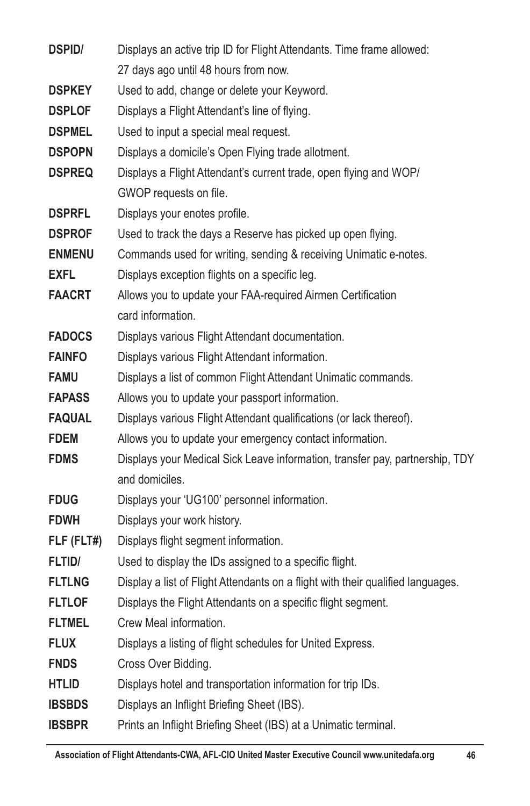| <b>DSPID/</b> | Displays an active trip ID for Flight Attendants. Time frame allowed:           |
|---------------|---------------------------------------------------------------------------------|
|               | 27 days ago until 48 hours from now.                                            |
| <b>DSPKEY</b> | Used to add, change or delete your Keyword.                                     |
| <b>DSPLOF</b> | Displays a Flight Attendant's line of flying.                                   |
| <b>DSPMEL</b> | Used to input a special meal request.                                           |
| <b>DSPOPN</b> | Displays a domicile's Open Flying trade allotment.                              |
| <b>DSPREQ</b> | Displays a Flight Attendant's current trade, open flying and WOP/               |
|               | GWOP requests on file.                                                          |
| <b>DSPRFL</b> | Displays your enotes profile.                                                   |
| <b>DSPROF</b> | Used to track the days a Reserve has picked up open flying.                     |
| <b>ENMENU</b> | Commands used for writing, sending & receiving Unimatic e-notes.                |
| <b>EXFL</b>   | Displays exception flights on a specific leg.                                   |
| <b>FAACRT</b> | Allows you to update your FAA-required Airmen Certification                     |
|               | card information.                                                               |
| <b>FADOCS</b> | Displays various Flight Attendant documentation.                                |
| <b>FAINFO</b> | Displays various Flight Attendant information.                                  |
| <b>FAMU</b>   | Displays a list of common Flight Attendant Unimatic commands.                   |
| <b>FAPASS</b> | Allows you to update your passport information.                                 |
| <b>FAQUAL</b> | Displays various Flight Attendant qualifications (or lack thereof).             |
| <b>FDEM</b>   | Allows you to update your emergency contact information.                        |
| <b>FDMS</b>   | Displays your Medical Sick Leave information, transfer pay, partnership, TDY    |
|               | and domiciles.                                                                  |
| <b>FDUG</b>   | Displays your 'UG100' personnel information.                                    |
| <b>FDWH</b>   | Displays your work history.                                                     |
| FLF (FLT#)    | Displays flight segment information.                                            |
| <b>FLTID/</b> | Used to display the IDs assigned to a specific flight.                          |
| <b>FLTLNG</b> | Display a list of Flight Attendants on a flight with their qualified languages. |
| <b>FLTLOF</b> | Displays the Flight Attendants on a specific flight segment.                    |
| <b>FLTMEL</b> | Crew Meal information.                                                          |
| <b>FLUX</b>   | Displays a listing of flight schedules for United Express.                      |
| <b>FNDS</b>   | Cross Over Bidding.                                                             |
| <b>HTLID</b>  | Displays hotel and transportation information for trip IDs.                     |
| <b>IBSBDS</b> | Displays an Inflight Briefing Sheet (IBS).                                      |
| <b>IBSBPR</b> | Prints an Inflight Briefing Sheet (IBS) at a Unimatic terminal.                 |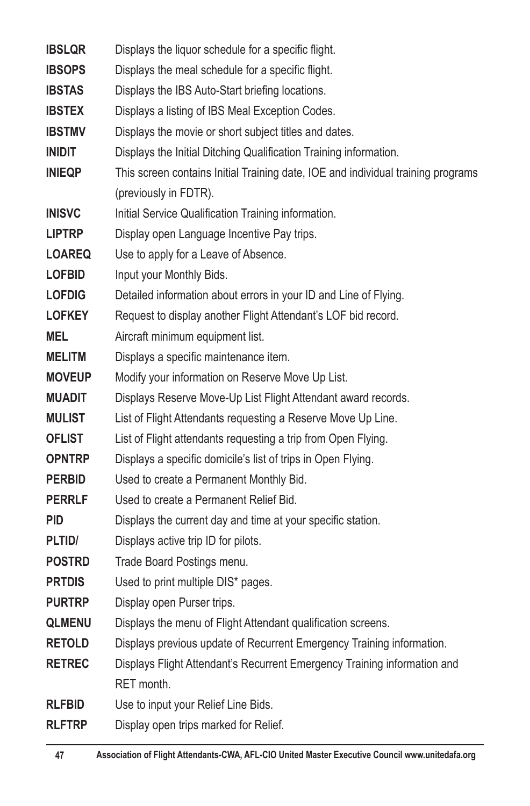| <b>IBSLOR</b> | Displays the liquor schedule for a specific flight.                              |
|---------------|----------------------------------------------------------------------------------|
| <b>IBSOPS</b> | Displays the meal schedule for a specific flight.                                |
| <b>IBSTAS</b> | Displays the IBS Auto-Start briefing locations.                                  |
| <b>IBSTEX</b> | Displays a listing of IBS Meal Exception Codes.                                  |
| <b>IBSTMV</b> | Displays the movie or short subject titles and dates.                            |
| <b>INIDIT</b> | Displays the Initial Ditching Qualification Training information.                |
| <b>INIEQP</b> | This screen contains Initial Training date, IOE and individual training programs |
|               | (previously in FDTR).                                                            |
| <b>INISVC</b> | Initial Service Qualification Training information.                              |
| <b>LIPTRP</b> | Display open Language Incentive Pay trips.                                       |
| <b>LOAREQ</b> | Use to apply for a Leave of Absence.                                             |
| <b>LOFBID</b> | Input your Monthly Bids.                                                         |
| <b>LOFDIG</b> | Detailed information about errors in your ID and Line of Flying.                 |
| <b>LOFKEY</b> | Request to display another Flight Attendant's LOF bid record.                    |
| <b>MEL</b>    | Aircraft minimum equipment list.                                                 |
| <b>MELITM</b> | Displays a specific maintenance item.                                            |
| <b>MOVEUP</b> | Modify your information on Reserve Move Up List.                                 |
| <b>MUADIT</b> | Displays Reserve Move-Up List Flight Attendant award records.                    |
| <b>MULIST</b> | List of Flight Attendants requesting a Reserve Move Up Line.                     |
| <b>OFLIST</b> | List of Flight attendants requesting a trip from Open Flying.                    |
| <b>OPNTRP</b> | Displays a specific domicile's list of trips in Open Flying.                     |
| <b>PERBID</b> | Used to create a Permanent Monthly Bid.                                          |
| <b>PERRLF</b> | Used to create a Permanent Relief Bid.                                           |
| <b>PID</b>    | Displays the current day and time at your specific station.                      |
| PLTID/        | Displays active trip ID for pilots.                                              |
| <b>POSTRD</b> | Trade Board Postings menu.                                                       |
| <b>PRTDIS</b> | Used to print multiple DIS* pages.                                               |
| <b>PURTRP</b> | Display open Purser trips.                                                       |
| <b>QLMENU</b> | Displays the menu of Flight Attendant qualification screens.                     |
| <b>RETOLD</b> | Displays previous update of Recurrent Emergency Training information.            |
| <b>RETREC</b> | Displays Flight Attendant's Recurrent Emergency Training information and         |
|               | RET month.                                                                       |
| <b>RLFBID</b> | Use to input your Relief Line Bids.                                              |
| <b>RLFTRP</b> | Display open trips marked for Relief.                                            |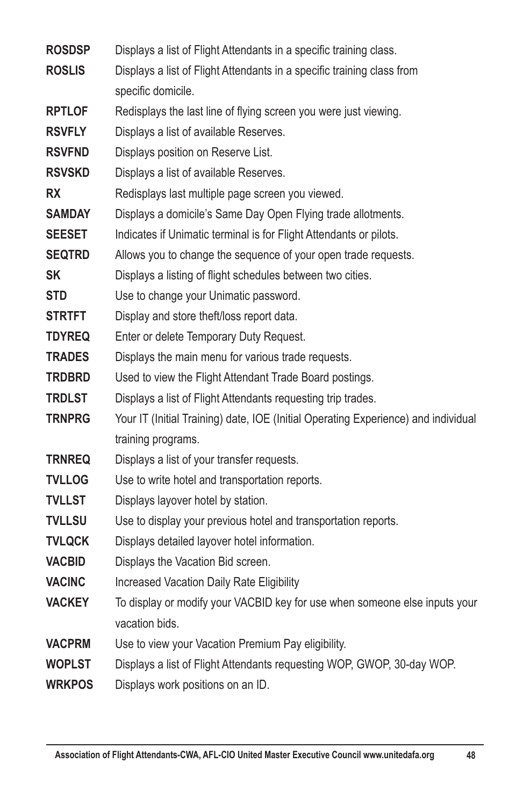| <b>ROSDSP</b> | Displays a list of Flight Attendants in a specific training class.                 |
|---------------|------------------------------------------------------------------------------------|
| <b>ROSLIS</b> | Displays a list of Flight Attendants in a specific training class from             |
|               | specific domicile.                                                                 |
| <b>RPTLOF</b> | Redisplays the last line of flying screen you were just viewing.                   |
| <b>RSVFLY</b> | Displays a list of available Reserves.                                             |
| <b>RSVFND</b> | Displays position on Reserve List.                                                 |
| <b>RSVSKD</b> | Displays a list of available Reserves.                                             |
| <b>RX</b>     | Redisplays last multiple page screen you viewed.                                   |
| <b>SAMDAY</b> | Displays a domicile's Same Day Open Flying trade allotments.                       |
| <b>SEESET</b> | Indicates if Unimatic terminal is for Flight Attendants or pilots.                 |
| <b>SEQTRD</b> | Allows you to change the sequence of your open trade requests.                     |
| SΚ            | Displays a listing of flight schedules between two cities.                         |
| <b>STD</b>    | Use to change your Unimatic password.                                              |
| <b>STRTFT</b> | Display and store theft/loss report data.                                          |
| <b>TDYREQ</b> | Enter or delete Temporary Duty Request.                                            |
| <b>TRADES</b> | Displays the main menu for various trade requests.                                 |
| TRDBRD        | Used to view the Flight Attendant Trade Board postings.                            |
| <b>TRDLST</b> | Displays a list of Flight Attendants requesting trip trades.                       |
| <b>TRNPRG</b> | Your IT (Initial Training) date, IOE (Initial Operating Experience) and individual |
|               | training programs.                                                                 |
| <b>TRNREQ</b> | Displays a list of your transfer requests.                                         |
| <b>TVLLOG</b> | Use to write hotel and transportation reports.                                     |
| TVLLST        | Displays layover hotel by station.                                                 |
| TVLLSU        | Use to display your previous hotel and transportation reports.                     |
| <b>TVLQCK</b> | Displays detailed layover hotel information.                                       |
| <b>VACBID</b> | Displays the Vacation Bid screen.                                                  |
| <b>VACINC</b> | Increased Vacation Daily Rate Eligibility                                          |
| <b>VACKEY</b> | To display or modify your VACBID key for use when someone else inputs your         |
|               | vacation bids.                                                                     |
| <b>VACPRM</b> | Use to view your Vacation Premium Pay eligibility.                                 |
| <b>WOPLST</b> | Displays a list of Flight Attendants requesting WOP, GWOP, 30-day WOP.             |
| <b>WRKPOS</b> | Displays work positions on an ID.                                                  |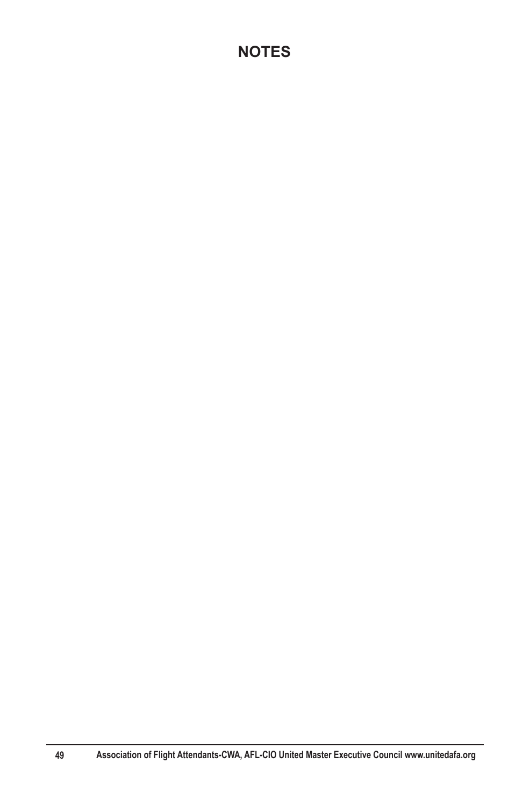# **NOTES**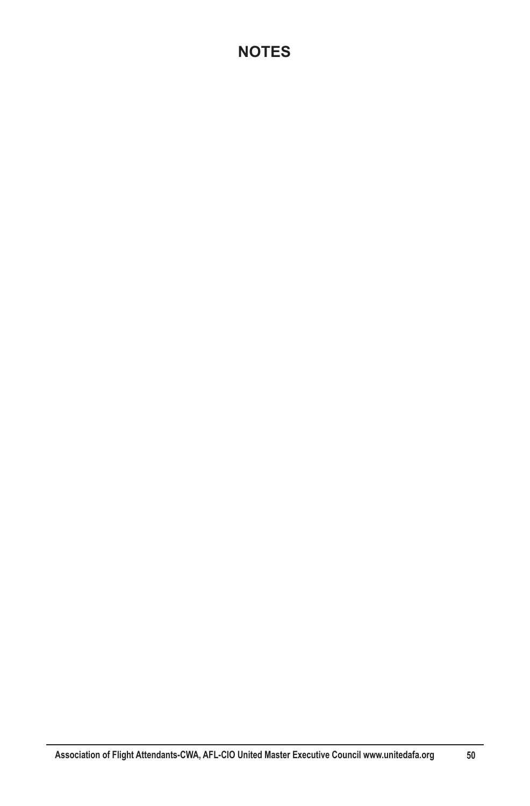# **NOTES**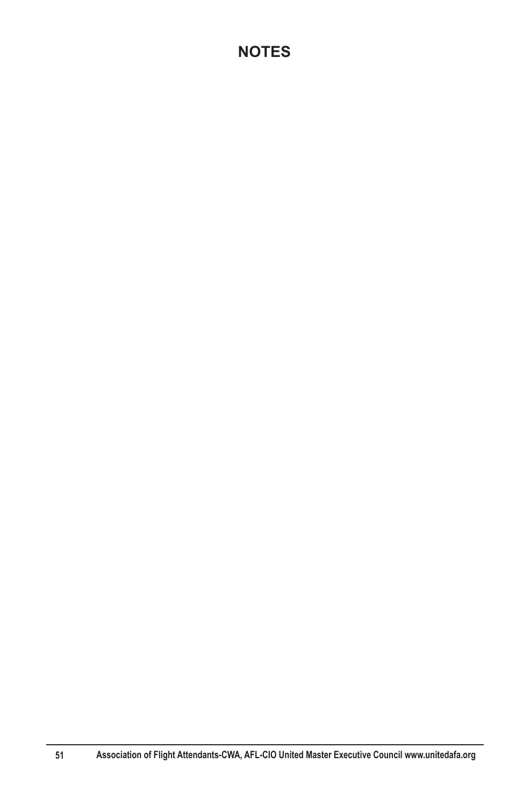# **NOTES**